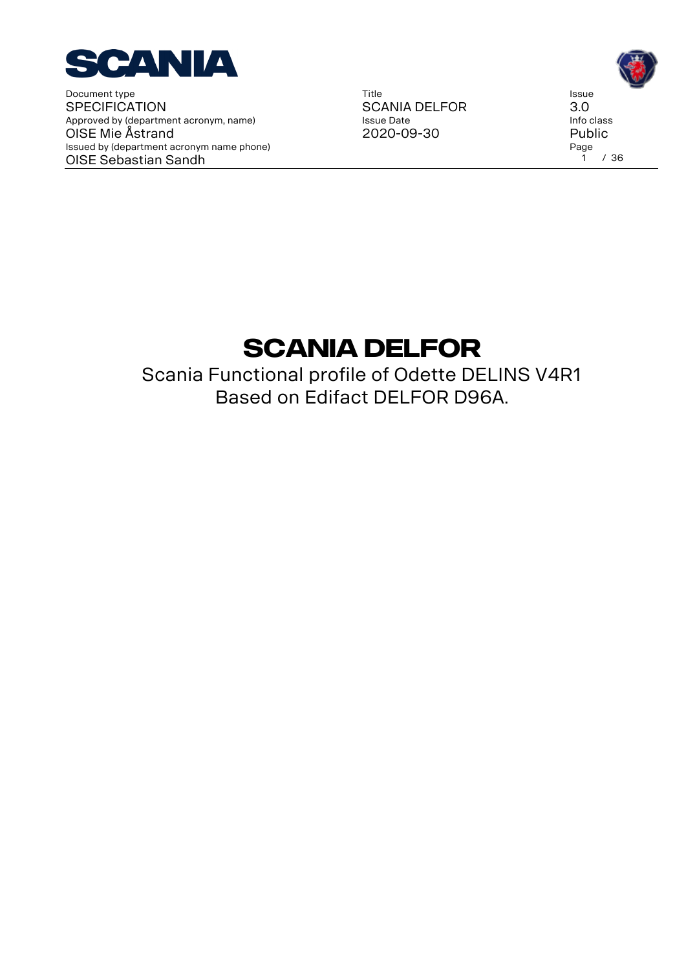

Title SCANIA DELFOR Issue Date 2020-09-30

Issue 3.0 Info class Public Page<br>1 1 / 36

# **SCANIA DELFOR**

Scania Functional profile of Odette DELINS V4R1 Based on Edifact DELFOR D96A.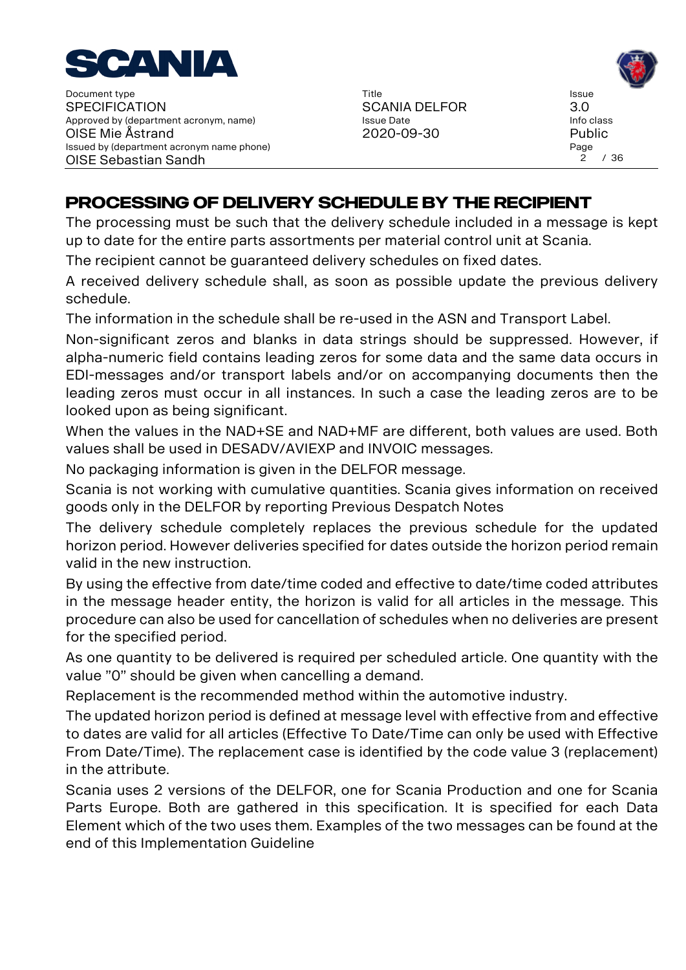

Title SCANIA DELFOR Issue Date 2020-09-30

# **PROCESSING OF DELIVERY SCHEDULE BY THE RECIPIENT**

The processing must be such that the delivery schedule included in a message is kept up to date for the entire parts assortments per material control unit at Scania.

The recipient cannot be guaranteed delivery schedules on fixed dates.

A received delivery schedule shall, as soon as possible update the previous delivery schedule.

The information in the schedule shall be re-used in the ASN and Transport Label.

Non-significant zeros and blanks in data strings should be suppressed. However, if alpha-numeric field contains leading zeros for some data and the same data occurs in EDI-messages and/or transport labels and/or on accompanying documents then the leading zeros must occur in all instances. In such a case the leading zeros are to be looked upon as being significant.

When the values in the NAD+SE and NAD+MF are different, both values are used. Both values shall be used in DESADV/AVIEXP and INVOIC messages.

No packaging information is given in the DELFOR message.

Scania is not working with cumulative quantities. Scania gives information on received goods only in the DELFOR by reporting Previous Despatch Notes

The delivery schedule completely replaces the previous schedule for the updated horizon period. However deliveries specified for dates outside the horizon period remain valid in the new instruction.

By using the effective from date/time coded and effective to date/time coded attributes in the message header entity, the horizon is valid for all articles in the message. This procedure can also be used for cancellation of schedules when no deliveries are present for the specified period.

As one quantity to be delivered is required per scheduled article. One quantity with the value "0" should be given when cancelling a demand.

Replacement is the recommended method within the automotive industry.

The updated horizon period is defined at message level with effective from and effective to dates are valid for all articles (Effective To Date/Time can only be used with Effective From Date/Time). The replacement case is identified by the code value 3 (replacement) in the attribute.

Scania uses 2 versions of the DELFOR, one for Scania Production and one for Scania Parts Europe. Both are gathered in this specification. It is specified for each Data Element which of the two uses them. Examples of the two messages can be found at the end of this Implementation Guideline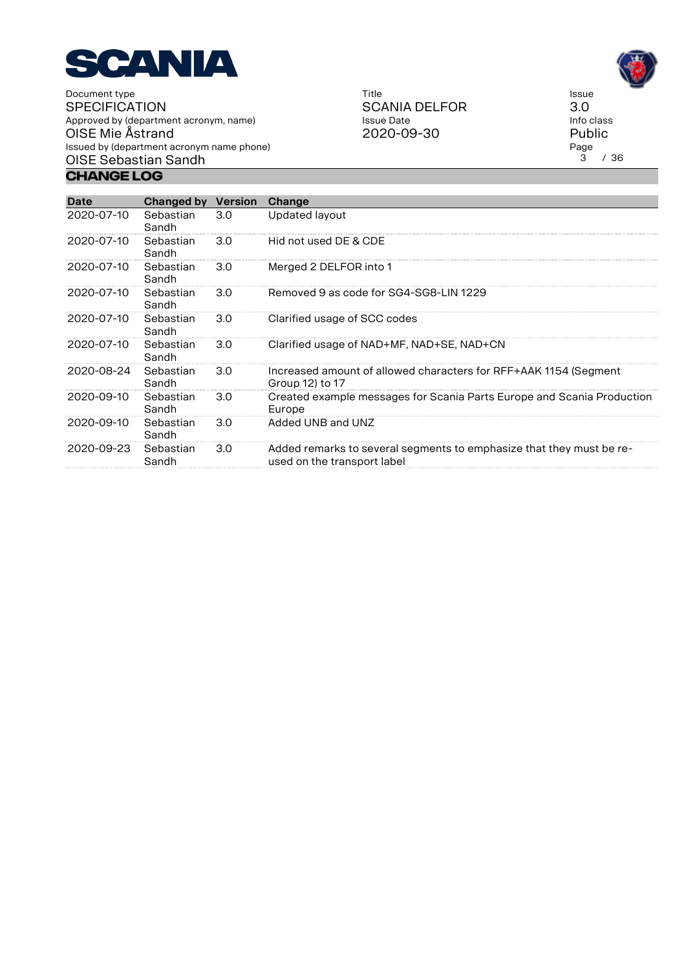

**Change Log**

Title SCANIA DELFOR Issue Date 2020-09-30

Issue 3.0 Info class Public Page<br>3  $/36$ 

| <b>Date</b>      | Changed by         | <b>Version</b> | Change                                                                                              |
|------------------|--------------------|----------------|-----------------------------------------------------------------------------------------------------|
| 2020-07-10       | Sebastian<br>Sandh | 3.0            | Updated layout                                                                                      |
| 2020-07-10       | Sebastian<br>Sandh | 3.0            | Hid not used DE & CDE                                                                               |
| 2020-07-10       | Sebastian<br>Sandh | 3.0            | Merged 2 DELFOR into 1                                                                              |
| 2020-07-10       | Sebastian<br>Sandh | 3.0            | Removed 9 as code for SG4-SG8-LIN 1229                                                              |
| 2020-07-10       | Sebastian<br>Sandh | 3.0            | Clarified usage of SCC codes                                                                        |
| 2020-07-10       | Sebastian<br>Sandh | 3.0            | Clarified usage of NAD+MF, NAD+SE, NAD+CN                                                           |
| 2020-08-24       | Sebastian<br>Sandh | 3.0            | Increased amount of allowed characters for RFF+AAK 1154 (Segment<br>Group 12) to 17                 |
| 2020-09-10       | Sebastian<br>Sandh | 3.0            | Created example messages for Scania Parts Europe and Scania Production<br>Europe                    |
| $2020 - 09 - 10$ | Sebastian<br>Sandh | 3.0            | Added UNB and UNZ                                                                                   |
| 2020-09-23       | Sebastian<br>Sandh | 3.0            | Added remarks to several segments to emphasize that they must be re-<br>used on the transport label |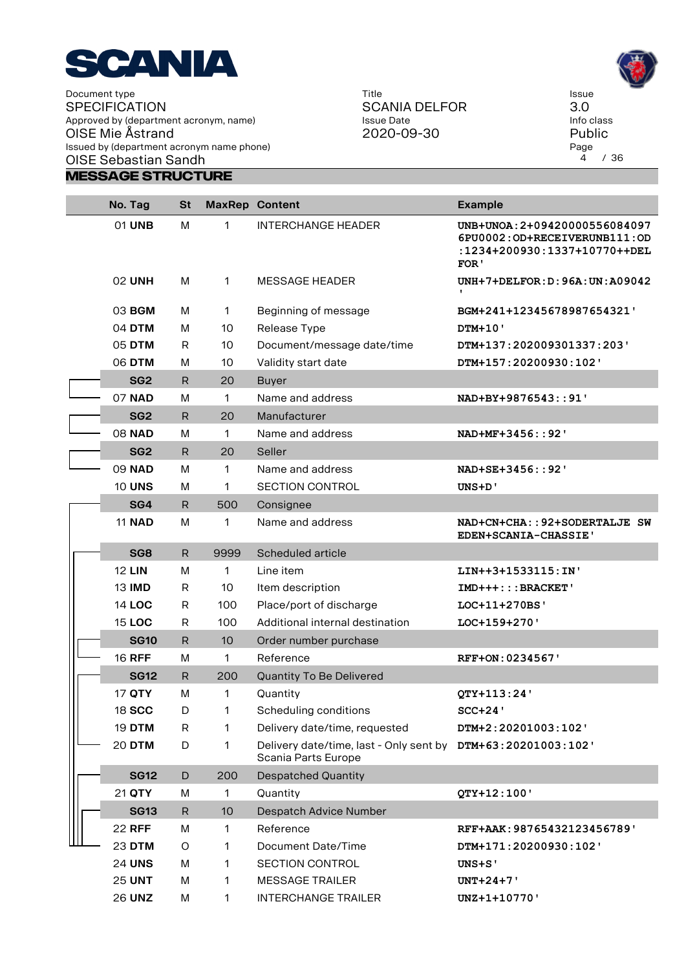

Title SCANIA DELFOR Issue Date 2020-09-30

Issue 3.0 Info class Public Page<br>4 4 / 36

| No. Tag         | <b>St</b>    |                 | <b>MaxRep Content</b>                                                               | <b>Example</b>                                                                                        |
|-----------------|--------------|-----------------|-------------------------------------------------------------------------------------|-------------------------------------------------------------------------------------------------------|
| 01 UNB          | M            | 1               | <b>INTERCHANGE HEADER</b>                                                           | UNB+UNOA: 2+09420000556084097<br>6PU0002:OD+RECEIVERUNB111:OD<br>:1234+200930:1337+10770++DEL<br>FOR' |
| <b>02 UNH</b>   | M            | 1               | <b>MESSAGE HEADER</b>                                                               | $UNH+7+DELFOR:D:96A:UN:A09042$<br>$\mathbf{L}$                                                        |
| 03 BGM          | М            | 1               | Beginning of message                                                                | BGM+241+12345678987654321'                                                                            |
| 04 DTM          | м            | 10              | Release Type                                                                        | <b>DTM+10'</b>                                                                                        |
| 05 DTM          | R            | 10              | Document/message date/time                                                          | DTM+137:202009301337:203'                                                                             |
| 06 DTM          | м            | 10              | Validity start date                                                                 | DTM+157:20200930:102'                                                                                 |
| SG <sub>2</sub> | R            | 20              | <b>Buyer</b>                                                                        |                                                                                                       |
| 07 NAD          | M            | 1               | Name and address                                                                    | NAD+BY+9876543::91'                                                                                   |
| SG <sub>2</sub> | R.           | 20              | Manufacturer                                                                        |                                                                                                       |
| <b>08 NAD</b>   | M            | 1               | Name and address                                                                    | NAD+MF+3456::92'                                                                                      |
| SG <sub>2</sub> | R.           | 20              | Seller                                                                              |                                                                                                       |
| 09 NAD          | M            | 1               | Name and address                                                                    | NAD+SE+3456::92'                                                                                      |
| <b>10 UNS</b>   | M            | 1               | <b>SECTION CONTROL</b>                                                              | UNS+D'                                                                                                |
| SG4             | $\mathsf{R}$ | 500             | Consignee                                                                           |                                                                                                       |
| <b>11 NAD</b>   | M            | 1               | Name and address                                                                    | NAD+CN+CHA:: 92+SODERTALJE SW<br>EDEN+SCANIA-CHASSIE'                                                 |
| SG <sub>8</sub> | R.           | 9999            | Scheduled article                                                                   |                                                                                                       |
| <b>12 LIN</b>   | м            | 1               | Line item                                                                           | LIN++3+1533115:IN'                                                                                    |
| <b>13 IMD</b>   | R            | 10              | Item description                                                                    | $IMD+++: : : BRACKET$                                                                                 |
| <b>14 LOC</b>   | R            | 100             | Place/port of discharge                                                             | LOC+11+270BS'                                                                                         |
| <b>15 LOC</b>   | R            | 100             | Additional internal destination                                                     | LOC+159+270'                                                                                          |
| <b>SG10</b>     | R.           | 10 <sup>°</sup> | Order number purchase                                                               |                                                                                                       |
| <b>16 RFF</b>   | M            | 1               | Reference                                                                           | RFF+ON: 0234567'                                                                                      |
| <b>SG12</b>     | R            | 200             | Quantity To Be Delivered                                                            |                                                                                                       |
| 17 QTY          | М            | 1               | Quantity                                                                            | OTY+113:24'                                                                                           |
| 18 SCC          | D            | 1               | Scheduling conditions                                                               | $SCC+24$                                                                                              |
| <b>19 DTM</b>   | R            | 1               | Delivery date/time, requested                                                       | DTM+2:20201003:102'                                                                                   |
| <b>20 DTM</b>   | D            | 1               | Delivery date/time, last - Only sent by DTM+63:20201003:102'<br>Scania Parts Europe |                                                                                                       |
| <b>SG12</b>     | D            | 200             | <b>Despatched Quantity</b>                                                          |                                                                                                       |
| 21 QTY          | М            | 1               | Quantity                                                                            | QTY+12:100'                                                                                           |
| <b>SG13</b>     | R.           | 10              | <b>Despatch Advice Number</b>                                                       |                                                                                                       |
| <b>22 RFF</b>   | М            | 1               | Reference                                                                           | RFF+AAK: 98765432123456789'                                                                           |
| 23 DTM          | O            | 1               | <b>Document Date/Time</b>                                                           | DTM+171:20200930:102'                                                                                 |
| <b>24 UNS</b>   | М            | 1               | <b>SECTION CONTROL</b>                                                              | UNS+S'                                                                                                |
| <b>25 UNT</b>   | м            | 1               | <b>MESSAGE TRAILER</b>                                                              | $UNT+24+7$                                                                                            |
| <b>26 UNZ</b>   | M            | 1               | <b>INTERCHANGE TRAILER</b>                                                          | UNZ+1+10770'                                                                                          |

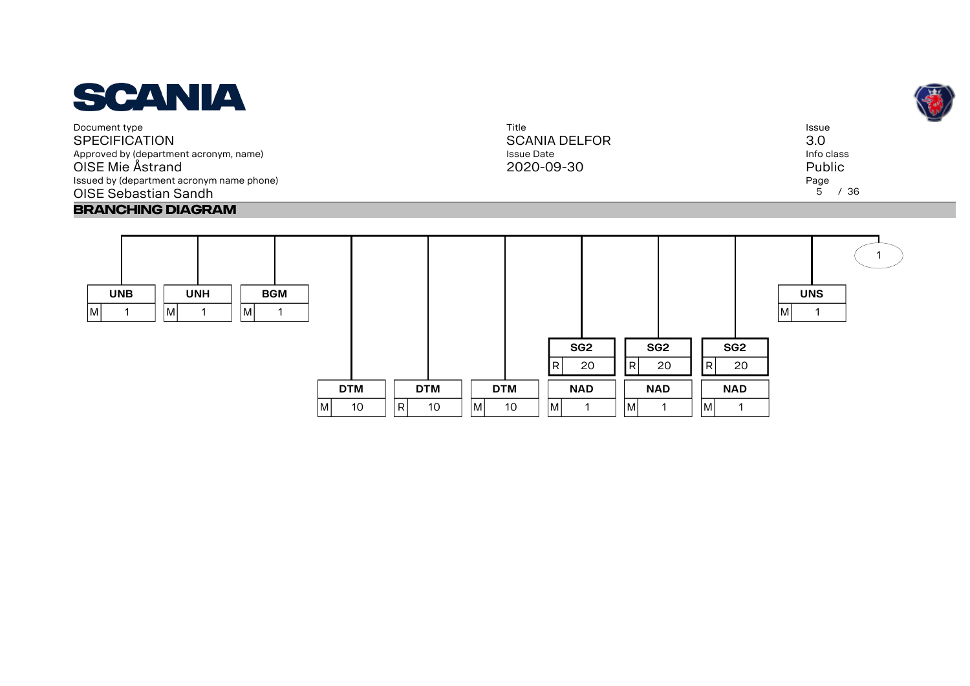

Title SCANIA DELFOR Issue Date 2020-09-30





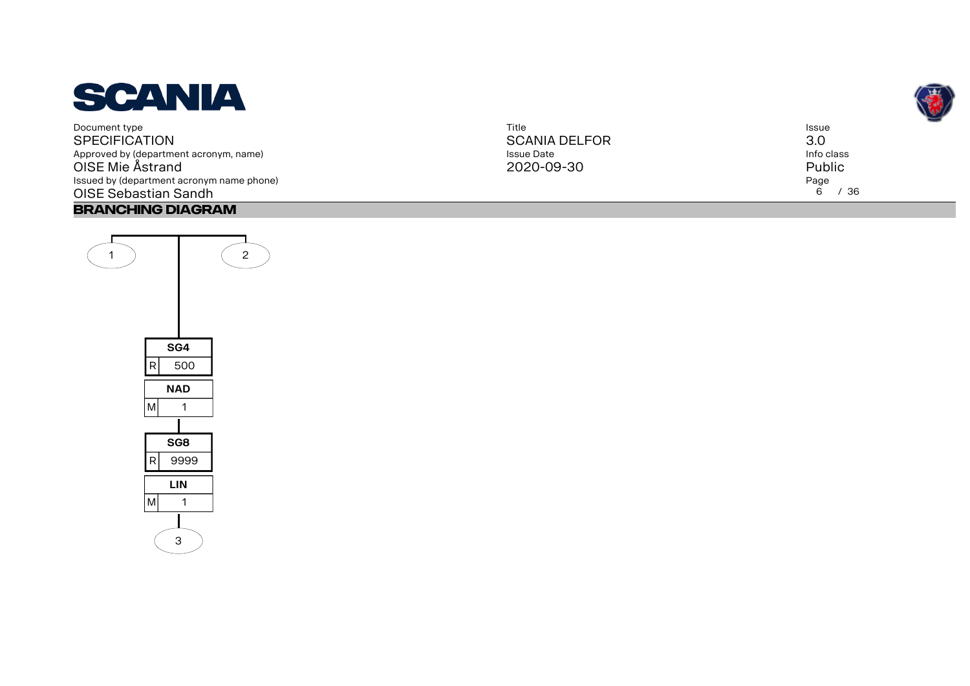

| Title                | <b>Issue</b> |
|----------------------|--------------|
| <b>SCANIA DELFOR</b> | 3.0          |
| Issue Date           | Info class   |
| 2020-09-30           | Public       |
|                      | Page         |
|                      | 6<br>/36     |

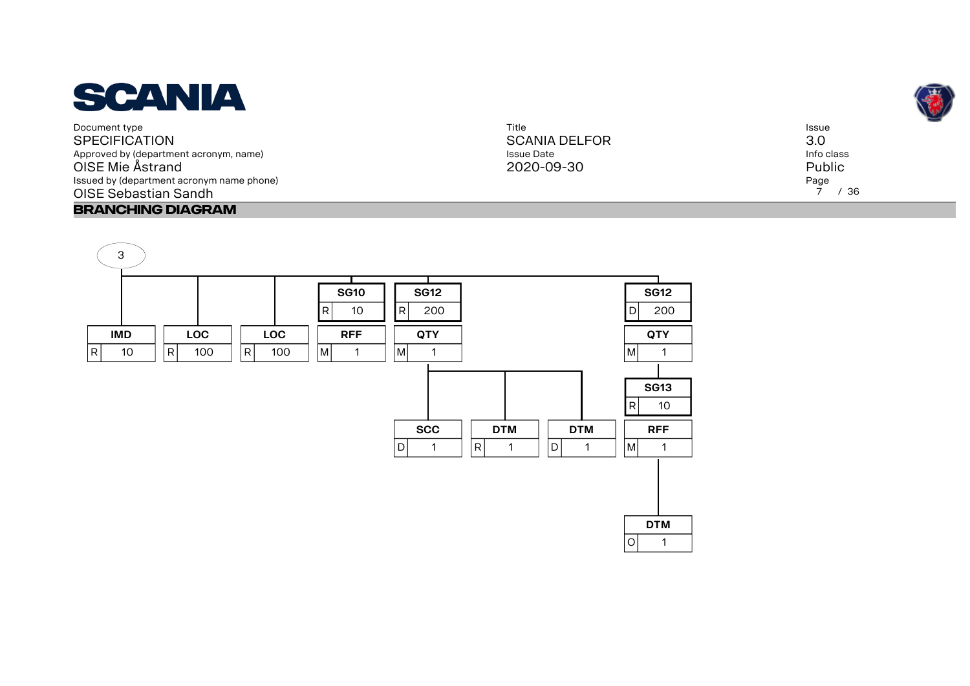

Title SCANIA DELFOR Issue Date 2020-09-30

Issue 3.0 Info class Public Page 7 / 36



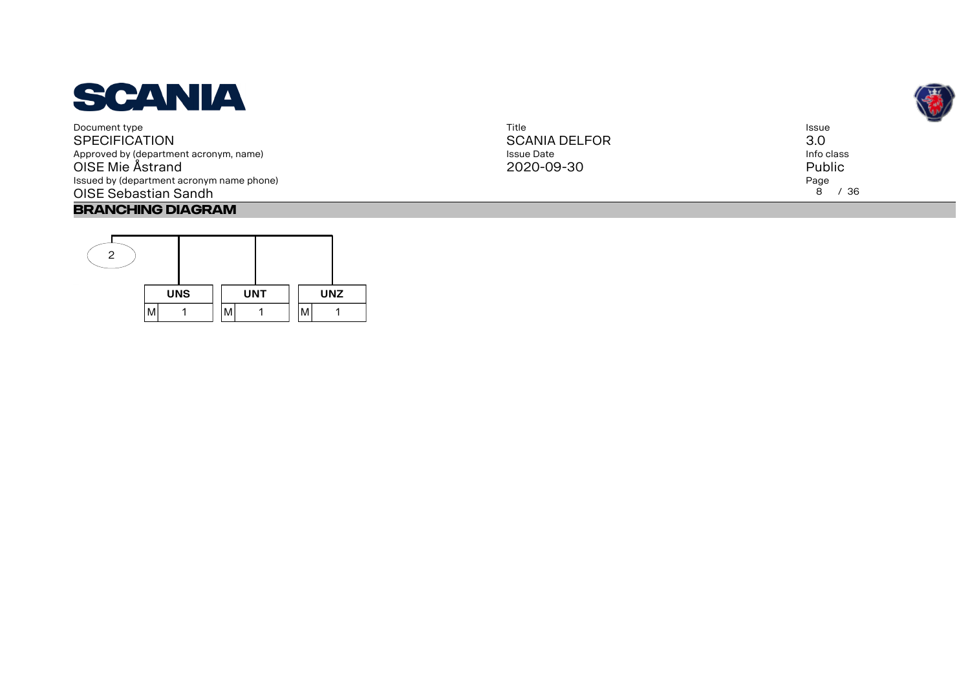

| Title                | Issue      |
|----------------------|------------|
| <b>SCANIA DELFOR</b> | 3.0        |
| <b>Issue Date</b>    | Info class |
| 2020-09-30           | Public     |
|                      | Page       |
|                      | 8<br>/36   |
|                      |            |



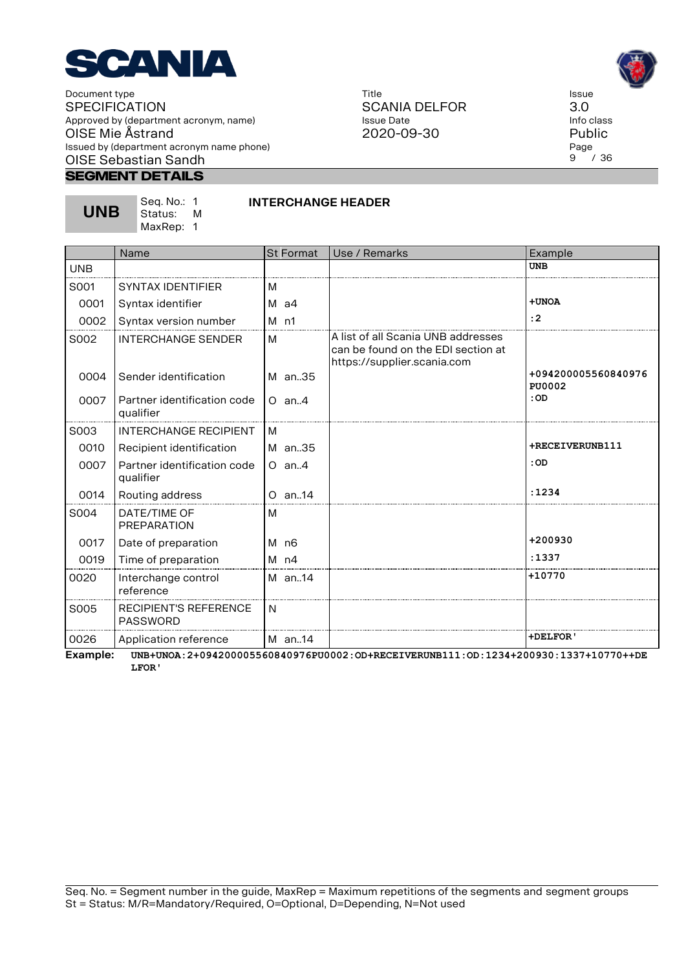

#### **Segment Details**

**UNB**

Seq. No.: 1 Status: M MaxRep: 1

# **INTERCHANGE HEADER**

|            | Name                                            | <b>St Format</b> | Use / Remarks                                                                                           | Example                              |
|------------|-------------------------------------------------|------------------|---------------------------------------------------------------------------------------------------------|--------------------------------------|
| <b>UNB</b> |                                                 |                  |                                                                                                         | <b>UNB</b>                           |
| S001       | <b>SYNTAX IDENTIFIER</b>                        | м                |                                                                                                         |                                      |
| 0001       | Syntax identifier                               | $M$ a4           |                                                                                                         | +UNOA                                |
| 0002       | Syntax version number                           | $M$ n1           |                                                                                                         | : 2                                  |
| S002       | INTERCHANGE SENDER                              | м                | A list of all Scania UNB addresses<br>can be found on the EDI section at<br>https://supplier.scania.com |                                      |
| 0004       | Sender identification                           | M an35           |                                                                                                         | +094200005560840976<br><b>PU0002</b> |
| 0007       | Partner identification code<br>qualifier        | $O$ an. 4        |                                                                                                         | :OD                                  |
| S003       | <b>INTERCHANGE RECIPIENT</b>                    | M                |                                                                                                         |                                      |
| 0010       | Recipient identification                        | M an35           |                                                                                                         | +RECEIVERUNB111                      |
| 0007       | Partner identification code<br>qualifier        | $O$ an. 4        |                                                                                                         | : OD                                 |
| 0014       | Routing address                                 | $O$ an14         |                                                                                                         | :1234                                |
| S004       | DATE/TIME OF<br>PREPARATION                     | M                |                                                                                                         |                                      |
| 0017       | Date of preparation                             | M n6             |                                                                                                         | +200930                              |
| 0019       | Time of preparation                             | $M$ n4           |                                                                                                         | :1337                                |
| 0020       | Interchange control<br>reference                | M an14           |                                                                                                         | +10770                               |
| S005       | <b>RECIPIENT'S REFERENCE</b><br><b>PASSWORD</b> | N                |                                                                                                         |                                      |
| 0026       | Application reference                           | M an14           |                                                                                                         | <b>+DELFOR'</b>                      |

**Example: UNB+UNOA:2+094200005560840976PU0002:OD+RECEIVERUNB111:OD:1234+200930:1337+10770++DE LFOR'**

Title SCANIA DELFOR Issue Date 2020-09-30



Issue 3.0 Info class Public Page<br>9  $'$  / 36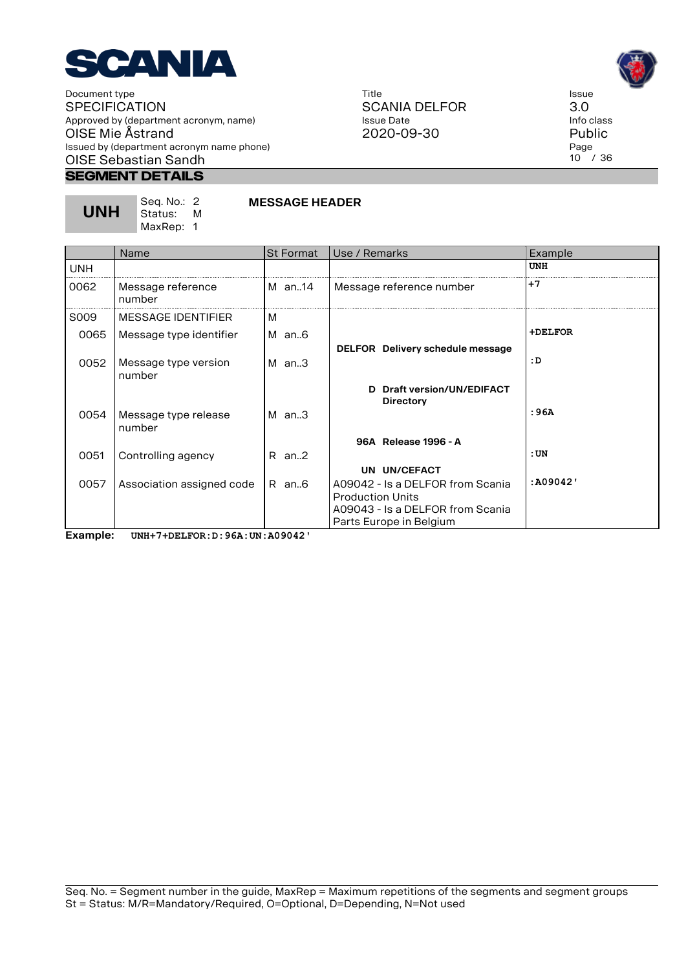

> Seq. No.: 2 Status: M MaxRep: 1

## **Segment Details**

**UNH**

| Title         |
|---------------|
| SCANIA DELFOR |
| Issue Date    |
| 2020-09-30    |



Page 10 / 36

|                   | Name                           | <b>St Format</b> | Use / Remarks                                               | Example    |
|-------------------|--------------------------------|------------------|-------------------------------------------------------------|------------|
| <b>UNH</b>        |                                |                  |                                                             | <b>UNH</b> |
| 0062              | Message reference<br>number    | M an14           | Message reference number                                    | +7         |
| S <sub>0</sub> 09 | MESSAGE IDENTIFIER             | м                |                                                             |            |
| 0065              | Message type identifier        | M an6            |                                                             | +DELFOR    |
|                   |                                |                  | DELFOR Delivery schedule message                            |            |
| 0052              | Message type version<br>number | $M$ an3          |                                                             | :D         |
|                   |                                |                  | Draft version/UN/EDIFACT<br>D.                              |            |
| 0054              | Message type release           | $M$ an.3         | <b>Directory</b>                                            | : 96A      |
|                   | number                         |                  |                                                             |            |
|                   |                                |                  | 96A Release 1996 - A                                        |            |
| 0051              | Controlling agency             | $R$ an2          |                                                             | :UN        |
|                   |                                |                  | UN UN/CEFACT                                                |            |
| 0057              | Association assigned code      | R an6            | A09042 - Is a DELFOR from Scania                            | :A09042'   |
|                   |                                |                  | <b>Production Units</b><br>A09043 - Is a DELFOR from Scania |            |
|                   |                                |                  | Parts Europe in Belgium                                     |            |

**MESSAGE HEADER**

**Example: UNH+7+DELFOR:D:96A:UN:A09042'**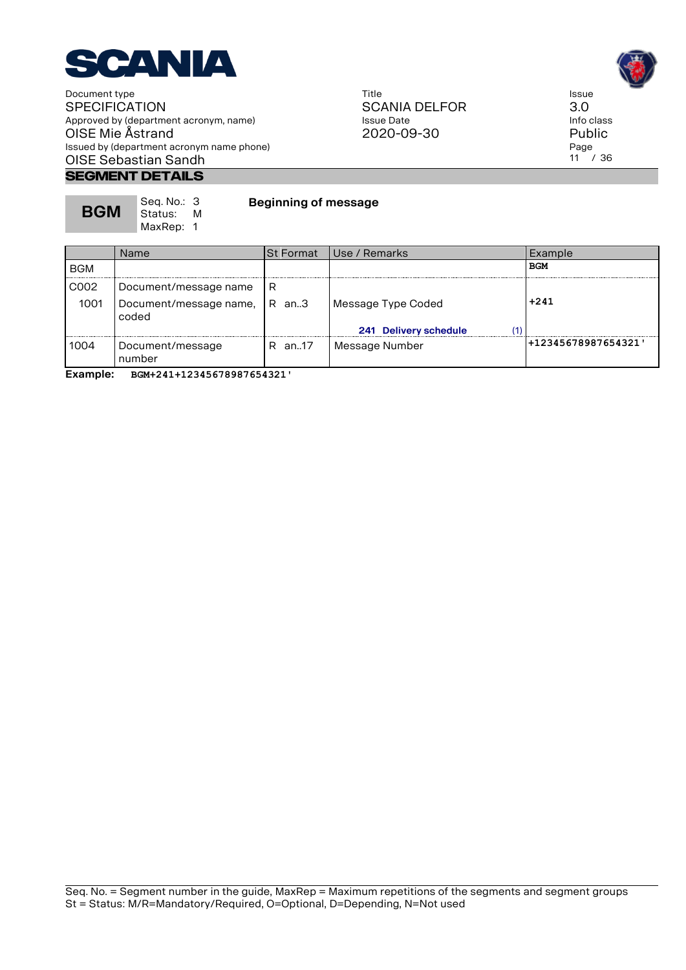

> Seq. No.: 3<br>Status: M Status:

# **Segment Details**

**BGM**

Title SCANIA DELFOR Issue Date 2020-09-30



Issue 3.0 Info class Public Page 11 / 36

|            | MaxRep: 1                       |                  |                              |                     |
|------------|---------------------------------|------------------|------------------------------|---------------------|
|            | <b>Name</b>                     | <b>St Format</b> | Use / Remarks                | Example             |
| <b>BGM</b> |                                 |                  |                              | <b>BGM</b>          |
| C002       | Document/message name           | R                |                              |                     |
| 1001       | Document/message name,<br>coded | $R$ an. $3$      | Message Type Coded           | $+241$              |
|            |                                 |                  | (1'<br>241 Delivery schedule |                     |
| 1004       | Document/message<br>number      | R an17           | Message Number               | +12345678987654321' |
|            |                                 |                  |                              |                     |

**Beginning of message**

**Example: BGM+241+12345678987654321'**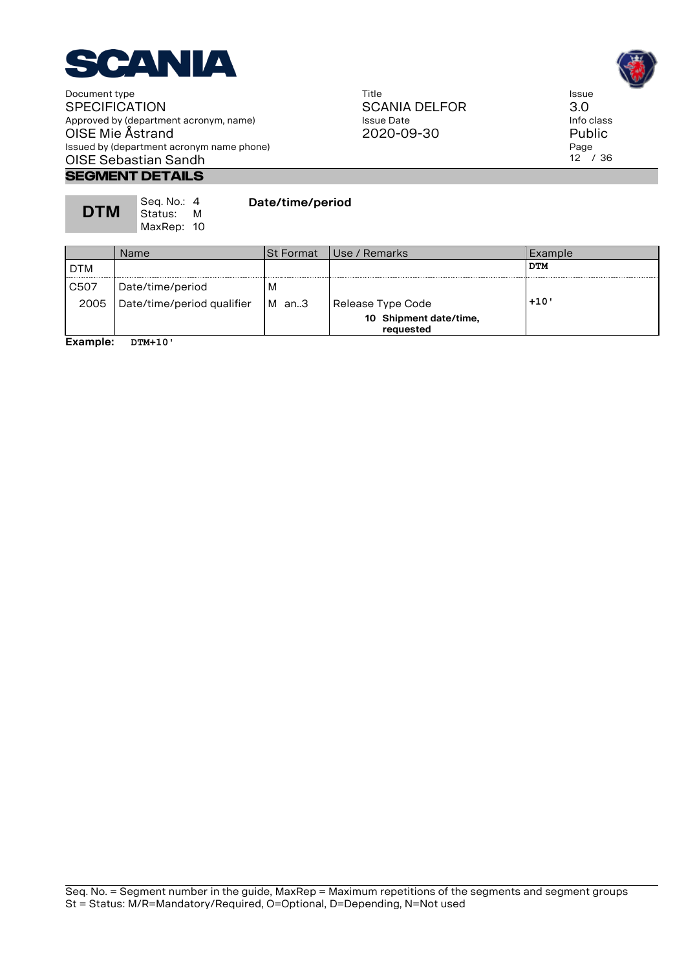

# **SEGMENT DETAILS**

| __________________________ |                          |            |
|----------------------------|--------------------------|------------|
| <b>DTM</b>                 | Seq. No.: 4<br>  Status: | Date/time/ |

MaxRep: 10

**period** 

Name St Format Use / Remarks Example DTM **DTM** C507 Date/time/period M 2005 Date/time/period qualifier M an..3 Release Type Code **+10 10 Shipment date/time, requested**

**Example: DTM+10'**





Issue 3.0 Info class Public Page  $12^{7}$  / 36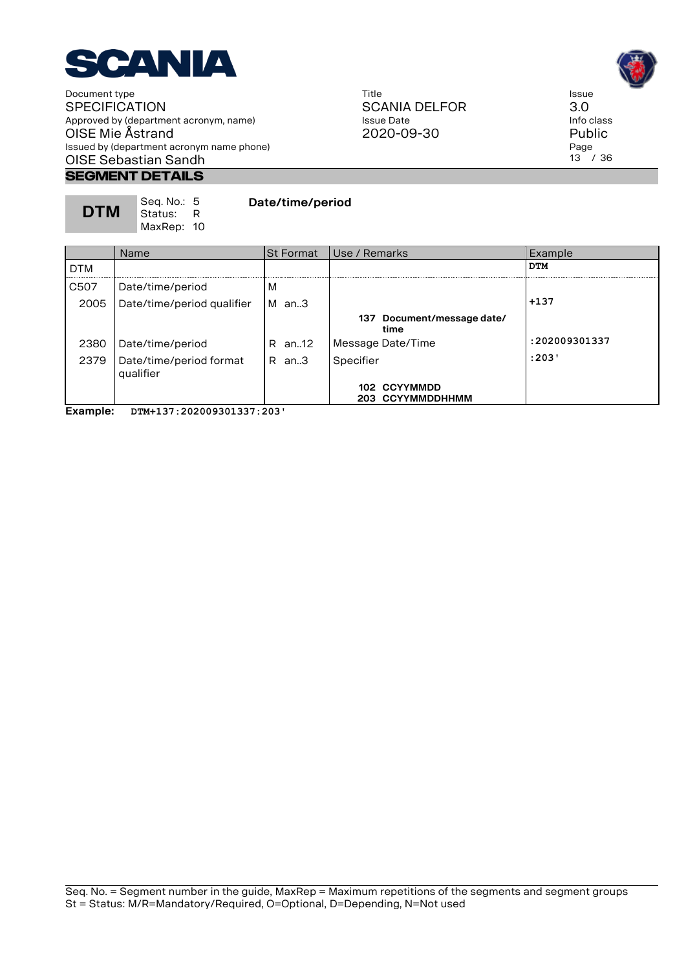

# **Segment Details**

**DTM** Seq. No.: 5 Status: R MaxRep: 10 **Date/time/period**

Name St Format Use / Remarks Example DTM **DTM** C507 Date/time/period M 2005 Date/time/period qualifier M an..3 **For all analyzing the set of the set of the set of the set of the set of the set of the set of the set of the set of the set of the set of the set of the set of the set of the set o 137 Document/message date/ time** 2380 Date/time/period R an..12 Message Date/Time **:202009301337** 2379 Date/time/period format qualifier R an..3 Specifier **:203' 102 CCYYMMDD 203 CCYYMMDDHHMM**

**Example: DTM+137:202009301337:203'**





Issue 3.0 Info class Public Page 13 / 36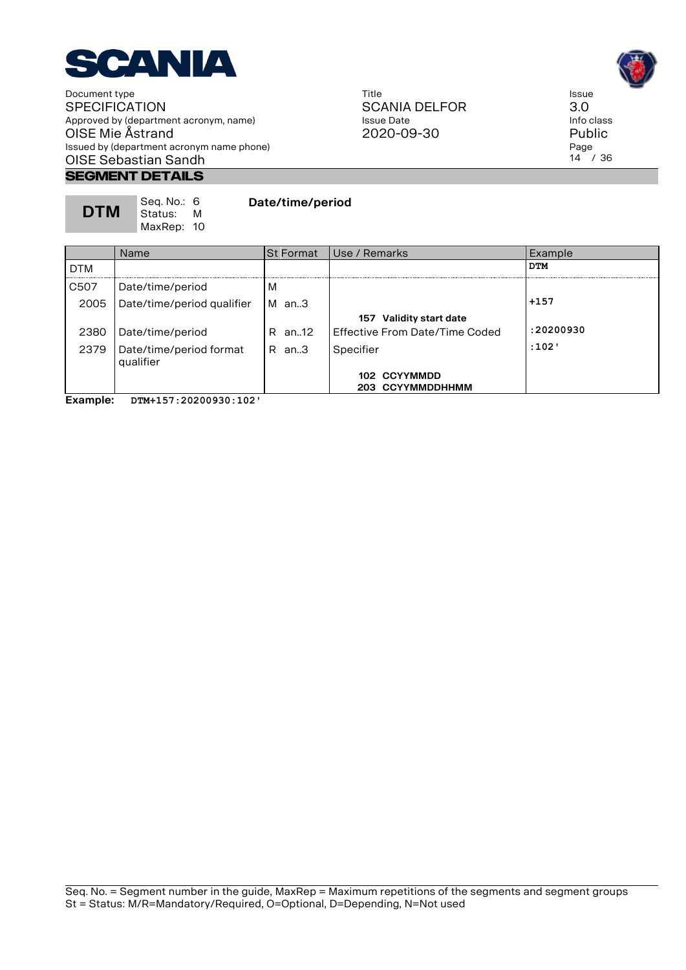

# **Segment Details**

| Seq. No.: 6<br><b>DTM</b><br>  Status:         M<br>MaxRep: 10 | Date/time/period |
|----------------------------------------------------------------|------------------|

Name St Format Use / Remarks Example DTM **DTM** C507 Date/time/period M 2005 Date/time/period qualifier M an..3 **+157 157 Validity start date** 2380 Date/time/period R an..12 Effective From Date/Time Coded **:20200930** 2379 Date/time/period format qualifier R an..3 Specifier **:102' 102 CCYYMMDD 203 CCYYMMDDHHMM**

2020-09-30

**Example: DTM+157:20200930:102'**

Title SCANIA DELFOR Issue Date

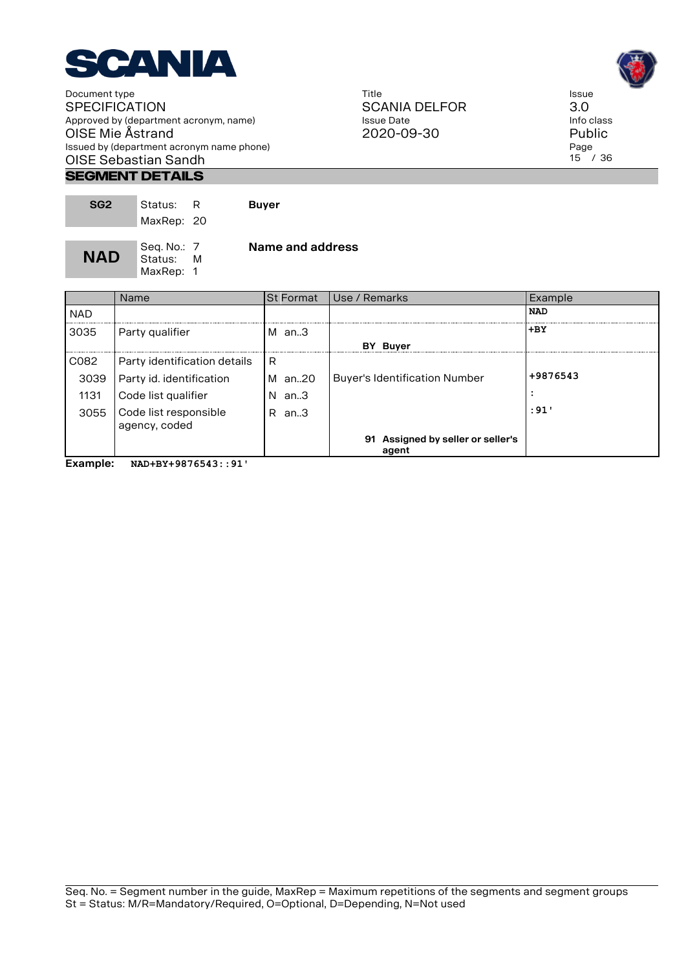

#### **Segment Details**

| SG <sub>2</sub> | Status: R<br>MaxRep: 20               | <b>Buyer</b>     |
|-----------------|---------------------------------------|------------------|
| <b>NAD</b>      | Seq. No.: 7<br>Status: M<br>MaxRep: 1 | Name and address |

Name St Format Use / Remarks Example NAD **NAD 3035** Party qualifier M an..3 **+BY BY Buyer**   $CO82$  Party identification details R 3039 Party id. identification M an..20 Buyer's Identification Number <sup>+9876543</sup> 1131 Code list qualifier N an..3 **:** N an..3 **:**  $\vert \cdot \vert$ 3055 Code list responsible agency, coded R an..3 **:91' 91 Assigned by seller or seller's agent**

**Example: NAD+BY+9876543::91'**

Title SCANIA DELFOR Issue Date 2020-09-30



Issue 3.0 Info class Public Page 15 / 36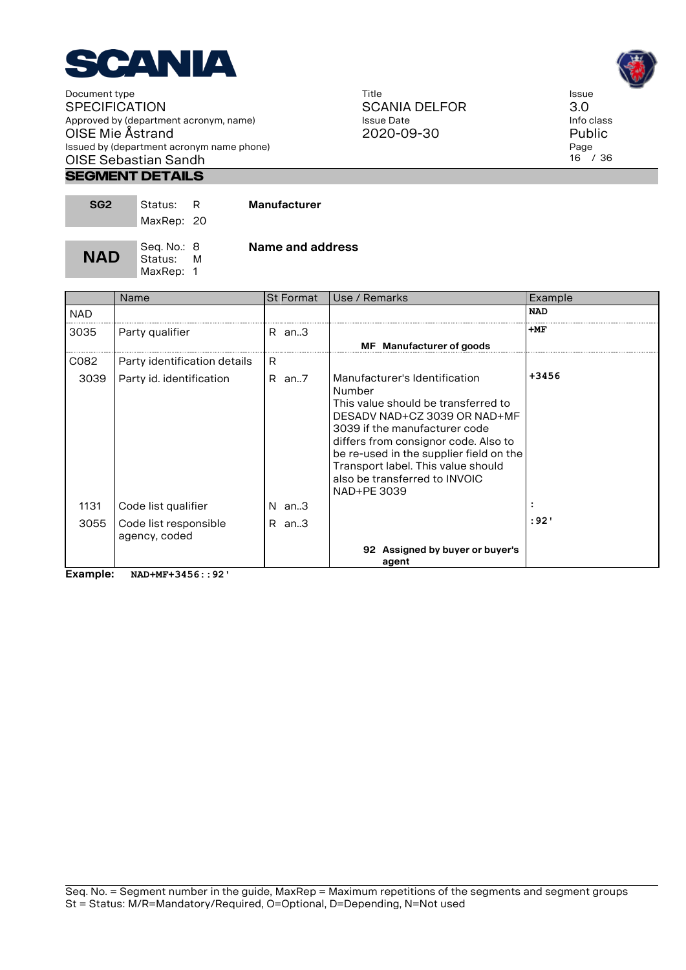

#### **Segment Details**

| SG <sub>2</sub> | Status: R   |   | <b>Manufacturer</b> |
|-----------------|-------------|---|---------------------|
|                 | MaxRep: 20  |   |                     |
|                 |             |   |                     |
|                 | Seq. No.: 8 |   | Name and address    |
| <b>NAD</b>      | Status:     | M |                     |
|                 | MaxRep: 1   |   |                     |

Name St Format Use / Remarks Example NAD **NAD**  $3035$  Party qualifier  $R$  an..3  $+MF$ **MF Manufacturer of goods**  $CO82$  Party identification details R 3039 Party id. identification  $\overline{R}$  an..7 Manufacturer's Identification Number This value should be transferred to DESADV NAD+CZ 3039 OR NAD+MF 3039 if the manufacturer code differs from consignor code. Also to be re-used in the supplier field on the Transport label. This value should also be transferred to INVOIC NAD+PE 3039 **+3456** 1131 Code list qualifier N an..3 **:** 3055 Code list responsible agency, coded R an..3 **:92' 92 Assigned by buyer or buyer's agent**

**Example: NAD+MF+3456::92'**

Seq. No. = Segment number in the guide, MaxRep = Maximum repetitions of the segments and segment groups St = Status: M/R=Mandatory/Required, O=Optional, D=Depending, N=Not used





Issue 3.0 Info class Public Page 16 / 36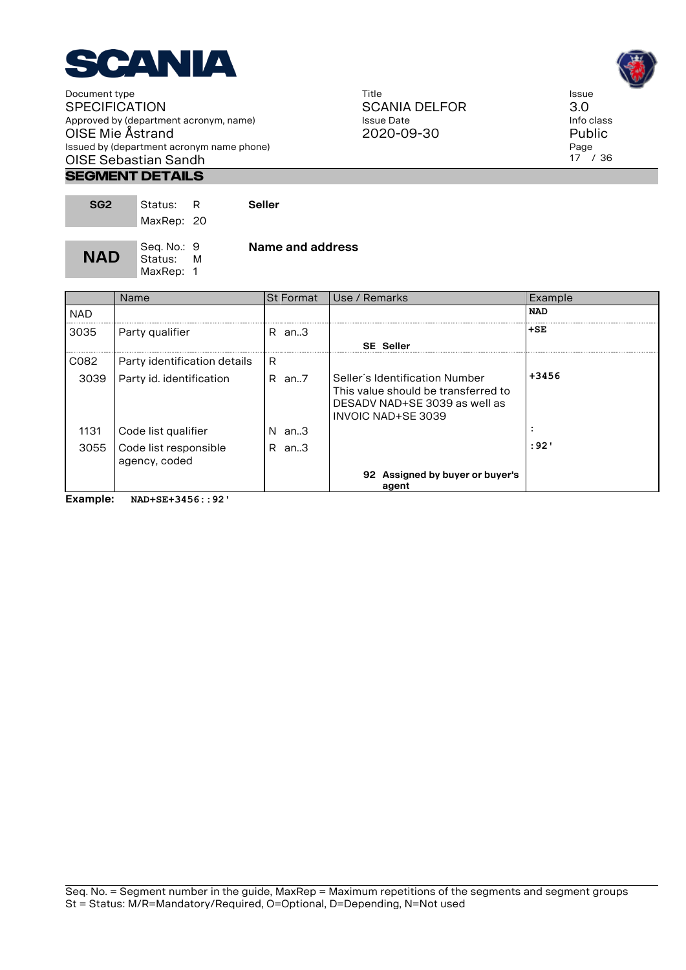

#### **Segment Details**

| SG <sub>2</sub> | Status:<br>MaxRep: 20               |   | Seller           |
|-----------------|-------------------------------------|---|------------------|
| <b>NAD</b>      | Seq. No.: 9<br>Status:<br>MaxRep: 1 | M | Name and address |

|                       | Name                                   | <b>St Format</b> | Use / Remarks                                                                                                                | Example    |
|-----------------------|----------------------------------------|------------------|------------------------------------------------------------------------------------------------------------------------------|------------|
| <b>NAD</b>            |                                        |                  |                                                                                                                              | <b>NAD</b> |
| 3035                  | Party qualifier                        | R an.3           |                                                                                                                              | l+SE       |
|                       |                                        |                  | <b>SE Seller</b>                                                                                                             |            |
| C082                  | Party identification details           | R                |                                                                                                                              |            |
| 3039                  | Party id. identification               | $R$ an. $7$      | Seller's Identification Number<br>This value should be transferred to<br>DESADV NAD+SE 3039 as well as<br>INVOIC NAD+SE 3039 | $+3456$    |
| 1131                  | Code list qualifier                    | $N$ an3          |                                                                                                                              |            |
| 3055                  | Code list responsible<br>agency, coded | R an.3           |                                                                                                                              | : 92 '     |
|                       |                                        |                  | 92 Assigned by buyer or buyer's<br>agent                                                                                     |            |
| Experience in the set | <br>                                   |                  |                                                                                                                              |            |

**Example: NAD+SE+3456::92'**

Title SCANIA DELFOR Issue Date 2020-09-30



Issue 3.0 Info class Public Page 17 / 36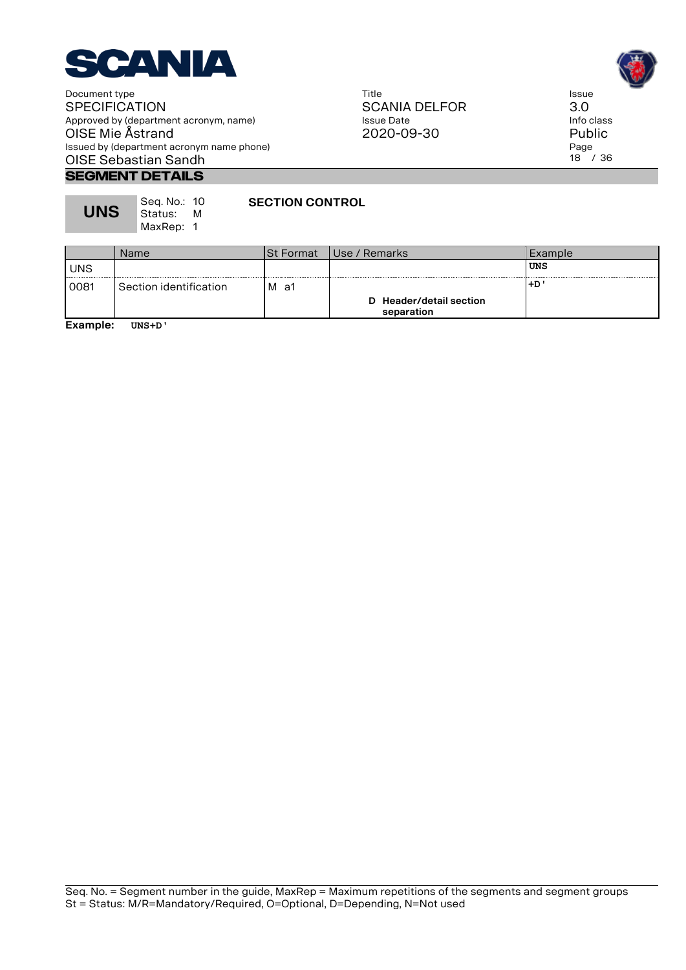

#### Title SCANIA DELFOR Issue Date 2020-09-30



Issue 3.0 Info class Public Page 18 / 36

#### **Segment Details**

| <b>UNS</b> | Seg. No.: 10<br>Status: I<br>MaxRep: 1 | M | <b>SECTION CONTROL</b> |
|------------|----------------------------------------|---|------------------------|
|            |                                        |   |                        |

|            | Name                   | <b>St Format</b> | Use / Remarks                         | Example |
|------------|------------------------|------------------|---------------------------------------|---------|
| <b>UNS</b> |                        |                  |                                       | UNS     |
| 0081       | Section identification | м<br>a1          |                                       | +D'     |
|            |                        |                  | D Header/detail section<br>separation |         |

**Example: UNS+D'**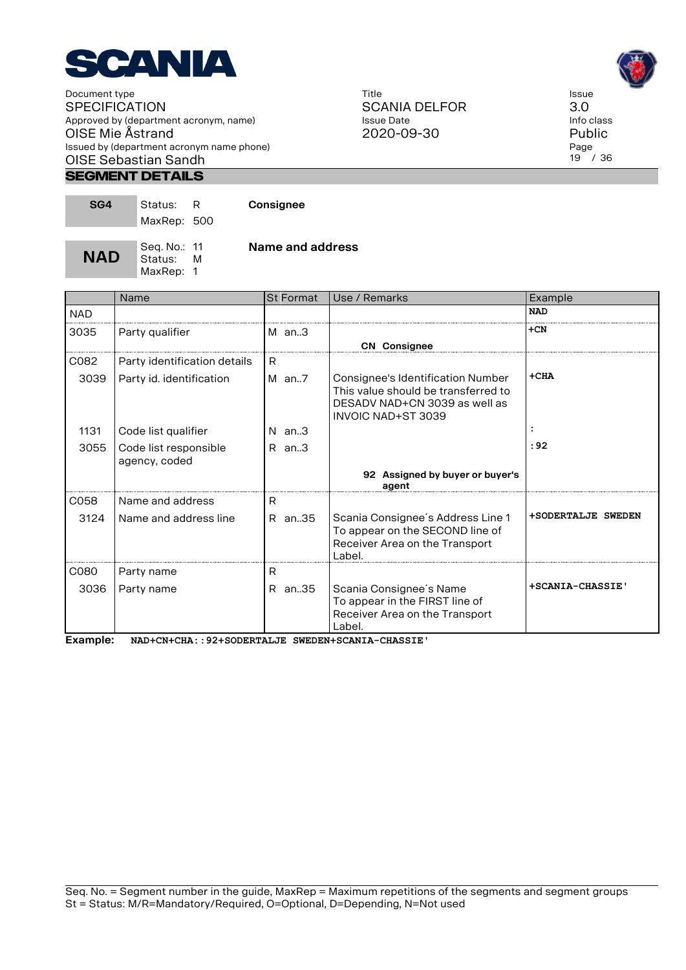

#### **Segment Details**

| SG4        | Status:<br>MaxRep: 500  | -R | Consignee        |
|------------|-------------------------|----|------------------|
| <b>NAD</b> | Seq. No.: 11<br>Status: |    | Name and address |

MaxRep: 1

|            | Name                                   | <b>St Format</b> | Use / Remarks                                                                                                                          | Example            |
|------------|----------------------------------------|------------------|----------------------------------------------------------------------------------------------------------------------------------------|--------------------|
| <b>NAD</b> |                                        |                  |                                                                                                                                        | <b>NAD</b>         |
| 3035       | Party qualifier                        | $M$ an3          |                                                                                                                                        | $+CN$              |
|            |                                        |                  | <b>CN</b> Consignee                                                                                                                    |                    |
| C082       | Party identification details           | R.               |                                                                                                                                        |                    |
| 3039       | Party id. identification               | $M$ an7          | Consignee's Identification Number<br>This value should be transferred to<br>DESADV NAD+CN 3039 as well as<br><b>INVOIC NAD+ST 3039</b> | $+CHA$             |
| 1131       | Code list qualifier                    | $N$ an. $3$      |                                                                                                                                        |                    |
| 3055       | Code list responsible<br>agency, coded | $R$ an. $3$      |                                                                                                                                        | : 92               |
|            |                                        |                  | 92 Assigned by buyer or buyer's<br>agent                                                                                               |                    |
| C058       | Name and address                       | R.               |                                                                                                                                        |                    |
| 3124       | Name and address line                  | R an35           | Scania Consignee's Address Line 1<br>To appear on the SECOND line of<br>Receiver Area on the Transport<br>Label.                       | +SODERTALJE SWEDEN |
| C080       | Party name                             | R                |                                                                                                                                        |                    |
| 3036       | Party name                             | R an35           | Scania Consignee's Name<br>To appear in the FIRST line of<br>Receiver Area on the Transport<br>Label.                                  | +SCANIA-CHASSIE'   |

**Example: NAD+CN+CHA::92+SODERTALJE SWEDEN+SCANIA-CHASSIE'**

Title SCANIA DELFOR Issue Date 2020-09-30



3.0 Info class Public Page 19 / 36

Issue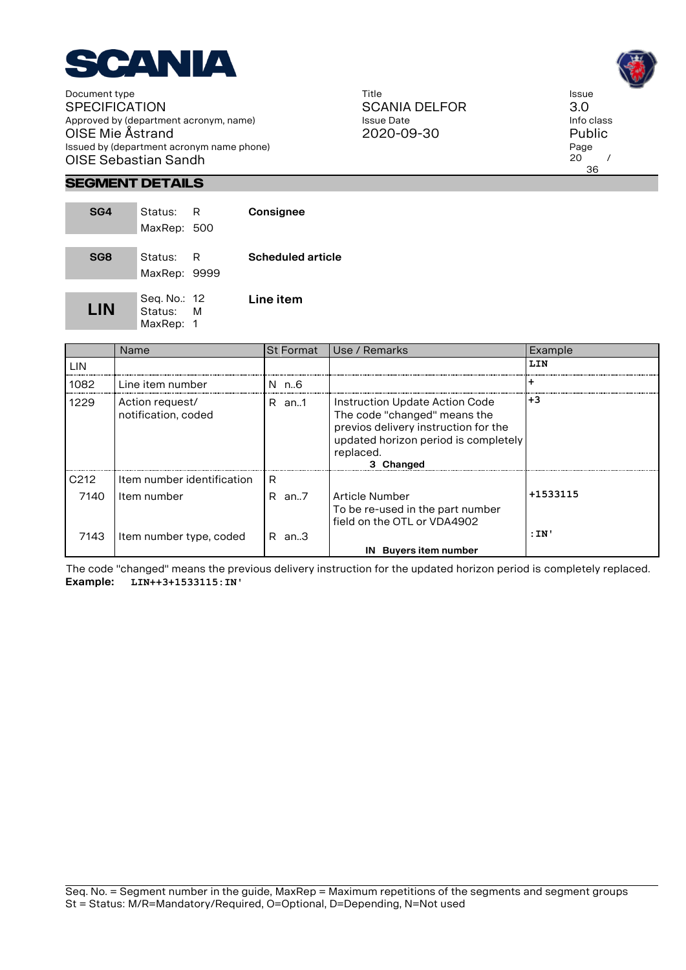

Title SCANIA DELFOR Issue Date 2020-09-30



# **Segment Details**

| SG4             | Status: R<br>MaxRep: 500               | Consignee                |
|-----------------|----------------------------------------|--------------------------|
| SG <sub>8</sub> | Status: R<br>MaxRep: 9999              | <b>Scheduled article</b> |
| LIN             | Seq. No.: 12<br>Status: M<br>MaxRep: 1 | Line item                |

|                  | Name                                   | <b>St Format</b> | Use / Remarks                                                                                                                                                            | Example  |
|------------------|----------------------------------------|------------------|--------------------------------------------------------------------------------------------------------------------------------------------------------------------------|----------|
| LIN              |                                        |                  |                                                                                                                                                                          | LIN      |
| 1082             | Line item number                       | N n.6            |                                                                                                                                                                          |          |
| 1229             | Action request/<br>notification, coded | R an1            | Instruction Update Action Code<br>The code "changed" means the<br>previos delivery instruction for the<br>updated horizon period is completely<br>replaced.<br>3 Changed | $+3$     |
| C <sub>212</sub> | Item number identification             | R                |                                                                                                                                                                          |          |
| 7140             | Item number                            | $R$ an. $7$      | Article Number<br>To be re-used in the part number<br>field on the OTL or VDA4902                                                                                        | +1533115 |
| 7143             | Item number type, coded                | $R$ an. $3$      |                                                                                                                                                                          | :IN'     |
|                  |                                        |                  | IN Buyers item number                                                                                                                                                    |          |

The code "changed" means the previous delivery instruction for the updated horizon period is completely replaced. **Example: LIN++3+1533115:IN'**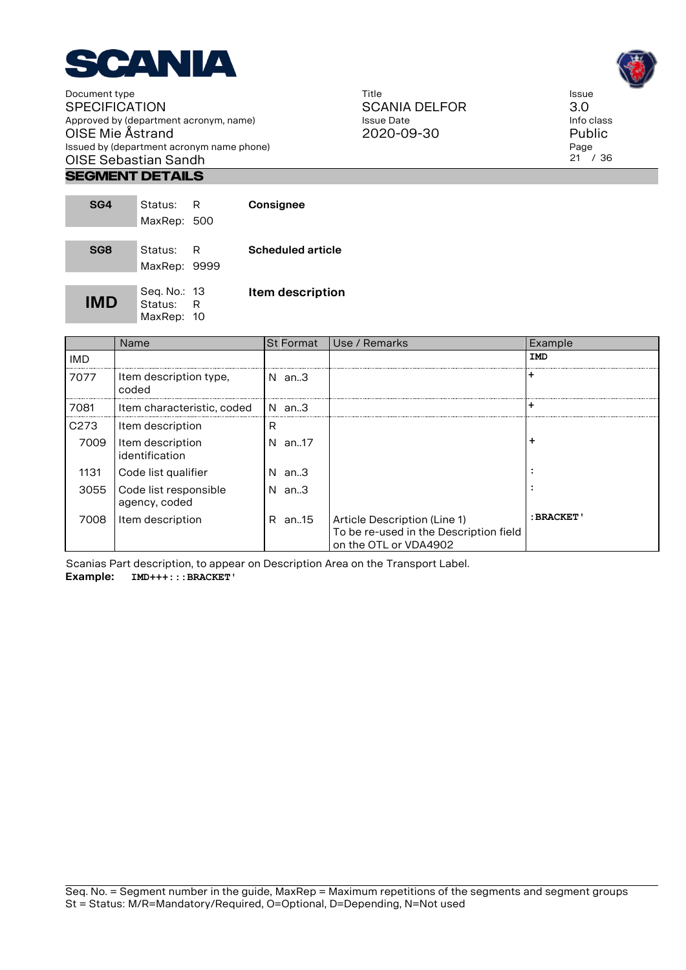

#### **Segment Details**

| SG4             | Status: R<br>MaxRep: 500                | Consignee                |
|-----------------|-----------------------------------------|--------------------------|
| SG <sub>8</sub> | Status: R<br>MaxRep: 9999               | <b>Scheduled article</b> |
| IMD             | Seg. No.: 13<br>Status: R<br>MaxRep: 10 | <b>Item description</b>  |

|            | Name                                   | <b>St Format</b> | Use / Remarks                                                                                   | Example     |
|------------|----------------------------------------|------------------|-------------------------------------------------------------------------------------------------|-------------|
| <b>IMD</b> |                                        |                  |                                                                                                 | IMD         |
| 7077       | Item description type,<br>coded        | $N$ an. $3$      |                                                                                                 |             |
| 7081       | Item characteristic, coded             | N an.3           |                                                                                                 | -           |
| C273       | Item description                       | R                |                                                                                                 |             |
| 7009       | Item description<br>identification     | an17<br>N.       |                                                                                                 | ٠           |
| 1131       | Code list qualifier                    | N.<br>an3        |                                                                                                 |             |
| 3055       | Code list responsible<br>agency, coded | an3<br>N.        |                                                                                                 |             |
| 7008       | Item description                       | R an15           | Article Description (Line 1)<br>To be re-used in the Description field<br>on the OTL or VDA4902 | : BRACKET ' |

Title

Issue Date 2020-09-30

SCANIA DELFOR

Scanias Part description, to appear on Description Area on the Transport Label. **Example: IMD+++:::BRACKET'**

Issue 3.0 Info class Public Page 21 / 36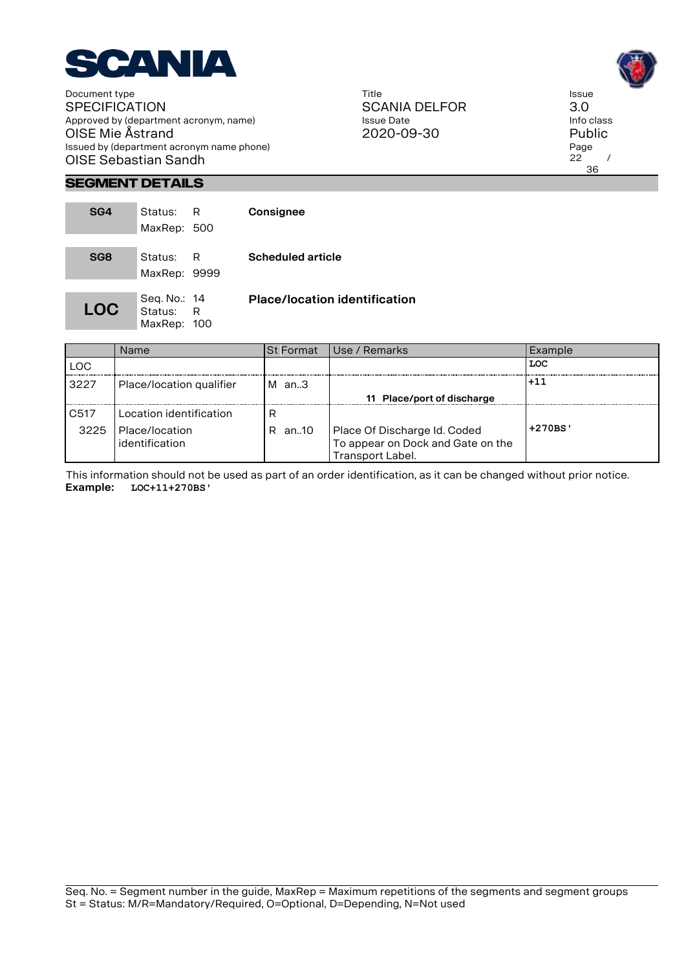

Title SCANIA DELFOR Issue Date 2020-09-30



# **Segment Details**

| SG4             | Status:<br>MaxRep: 500                   | R | Consignee                            |
|-----------------|------------------------------------------|---|--------------------------------------|
| SG <sub>8</sub> | Status:<br>MaxRep: 9999                  | R | <b>Scheduled article</b>             |
| <b>LOC</b>      | Seq. No.: 14<br>Status: R<br>MaxRep: 100 |   | <b>Place/location identification</b> |

|                          | <b>Name</b>                                                   | <b>St Format</b> | l Use / Remarks                                                                       | Example  |
|--------------------------|---------------------------------------------------------------|------------------|---------------------------------------------------------------------------------------|----------|
| <b>LOC</b>               |                                                               |                  |                                                                                       | LOC      |
| 3227                     | Place/location qualifier                                      | $M$ an3          | 11 Place/port of discharge                                                            | $+11$    |
| C <sub>517</sub><br>3225 | Location identification<br>l Place/location<br>identification | R<br>R an10      | Place Of Discharge Id. Coded<br>To appear on Dock and Gate on the<br>Transport Label. | $+270BS$ |

This information should not be used as part of an order identification, as it can be changed without prior notice. **Example: LOC+11+270BS'**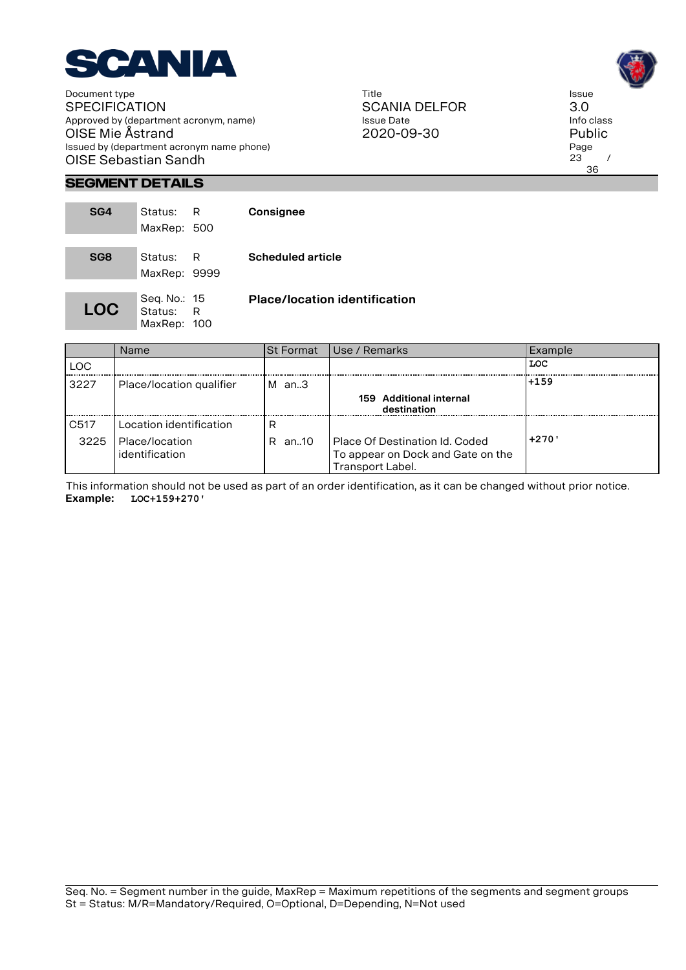

Title SCANIA DELFOR Issue Date 2020-09-30



# **Segment Details**

| SG4             | Status:<br>MaxRep: 500                   | R | Consignee                            |
|-----------------|------------------------------------------|---|--------------------------------------|
| SG <sub>8</sub> | Status: R<br>MaxRep: 9999                |   | <b>Scheduled article</b>             |
| <b>LOC</b>      | Seq. No.: 15<br>Status: R<br>MaxRep: 100 |   | <b>Place/location identification</b> |

|                  | Name                             | <b>St Format</b> | Use / Remarks                                                                           | Example |
|------------------|----------------------------------|------------------|-----------------------------------------------------------------------------------------|---------|
| LOC              |                                  |                  |                                                                                         | LOC     |
| 3227             | Place/location qualifier         | $M$ an3          |                                                                                         | l+159   |
|                  |                                  |                  | 159 Additional internal<br>destination                                                  |         |
| C <sub>517</sub> | Location identification          | R                |                                                                                         |         |
| 3225             | Place/location<br>identification | .an10<br>R.      | Place Of Destination Id. Coded<br>To appear on Dock and Gate on the<br>Transport Label. | $+270'$ |

This information should not be used as part of an order identification, as it can be changed without prior notice. **Example: LOC+159+270'**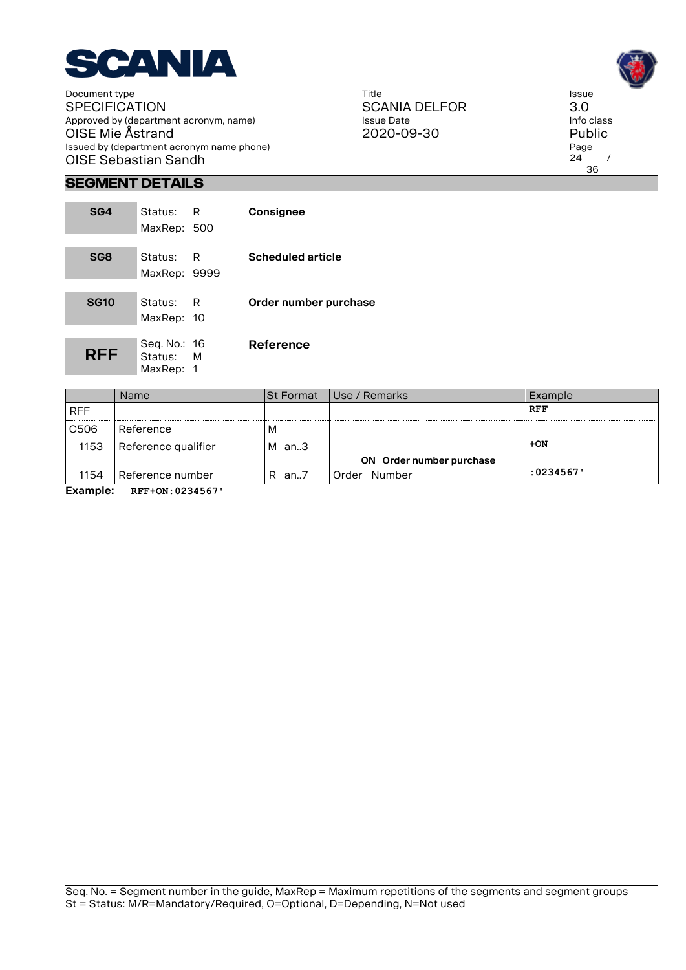

Title SCANIA DELFOR Issue Date 2020-09-30



# **Segment Details**

| SG4             | Status: R<br>MaxRep: 500               |   | Consignee                |
|-----------------|----------------------------------------|---|--------------------------|
| SG <sub>8</sub> | Status: R<br>MaxRep: 9999              |   | <b>Scheduled article</b> |
| <b>SG10</b>     | Status:<br>MaxRep: 10                  | R | Order number purchase    |
| <b>RFF</b>      | Seg. No.: 16<br>Status: M<br>MaxRep: 1 |   | Reference                |

|                | Name                | <b>St Format</b> | Use / Remarks            | Example    |  |  |
|----------------|---------------------|------------------|--------------------------|------------|--|--|
| <b>RFF</b>     |                     |                  |                          | <b>RFF</b> |  |  |
| C506           | Reference           | M                |                          |            |  |  |
| 1153           | Reference qualifier | м<br>an3         |                          | $+ON$      |  |  |
|                |                     |                  | ON Order number purchase |            |  |  |
| 1154           | Reference number    | R<br>an.7        | Number<br>Order          | :0234567   |  |  |
| <b>Example</b> | $RFF+ON.0234567$    |                  |                          |            |  |  |

**Example: RFF+ON:0234567'**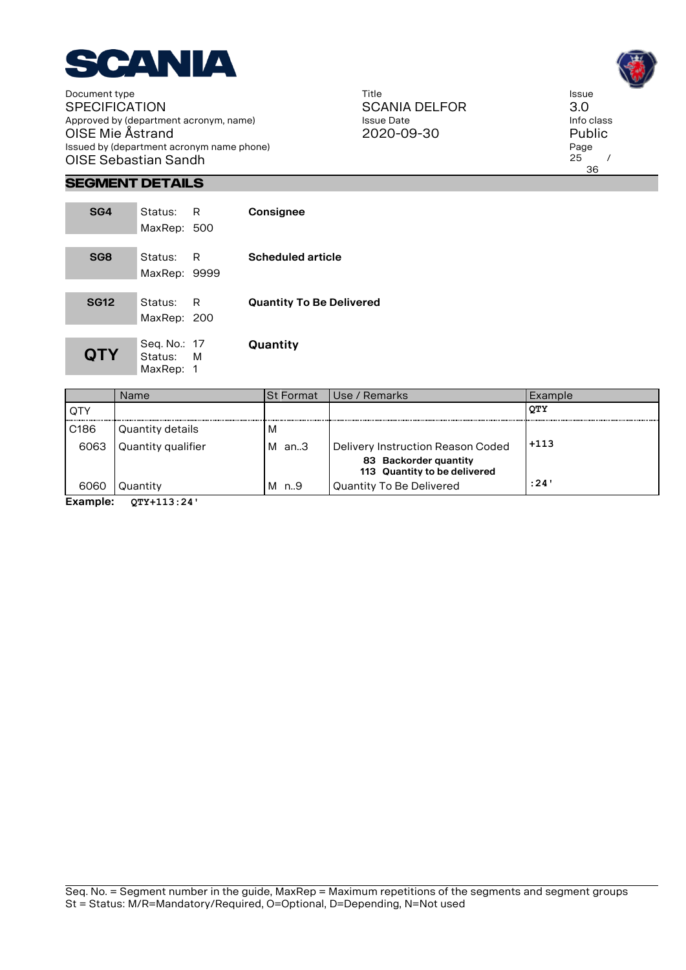

Title SCANIA DELFOR Issue Date 2020-09-30

Issue 3.0 Info class Public Page  $25$  / 36

# **Segment Details**

the control of the control of the con-

| SG4             | Status: R    |     | Consignee                       |
|-----------------|--------------|-----|---------------------------------|
|                 | MaxRep: 500  |     |                                 |
|                 |              |     |                                 |
| SG <sub>8</sub> | Status:      | – R | <b>Scheduled article</b>        |
|                 | MaxRep: 9999 |     |                                 |
|                 |              |     |                                 |
| <b>SG12</b>     | Status:      | – R | <b>Quantity To Be Delivered</b> |
|                 | MaxRep: 200  |     |                                 |
|                 |              |     |                                 |
|                 | Seq. No.: 17 |     | Quantity                        |
| <b>QTY</b>      | Status: M    |     |                                 |
|                 | MaxRep: 1    |     |                                 |

|                  | Name               | ISt Format | Use / Remarks                                         | Example    |
|------------------|--------------------|------------|-------------------------------------------------------|------------|
| <b>OTY</b>       |                    |            |                                                       | <b>OTY</b> |
| C <sub>186</sub> | Quantity details   | M          |                                                       |            |
| 6063             | Quantity qualifier | М<br>an3   | Delivery Instruction Reason Coded                     | $+113$     |
|                  |                    |            | 83 Backorder quantity<br>113 Quantity to be delivered |            |
| 6060             | Quantity           | n9<br>M    | Quantity To Be Delivered                              | :24'       |

**Example: QTY+113:24'**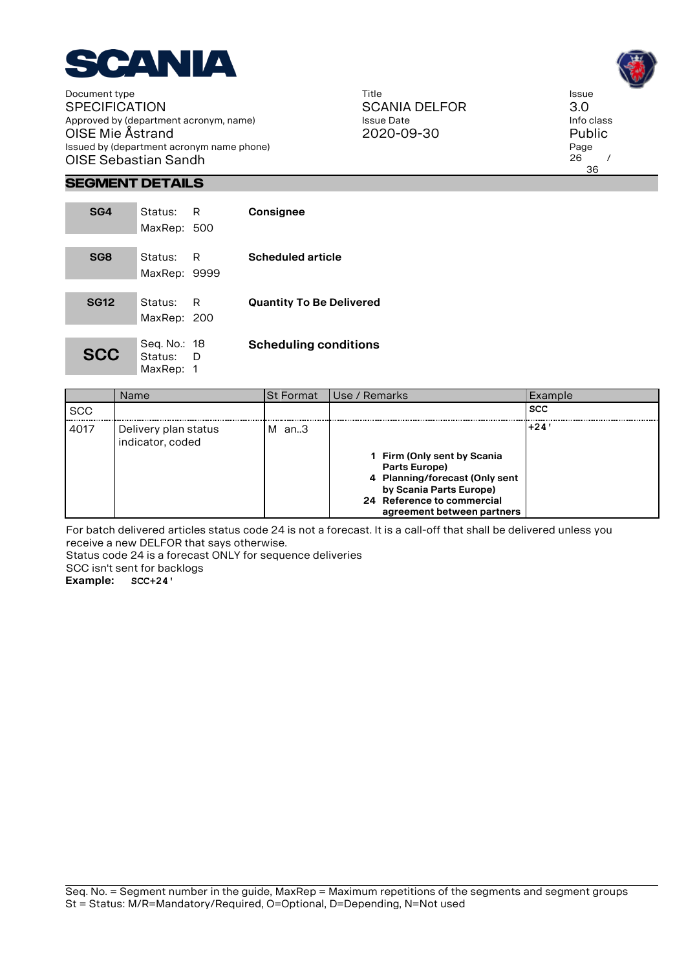

Title SCANIA DELFOR Issue Date 2020-09-30

Issue 3.0 Info class Public Page  $26 /$ 36

# **Segment Details**

| SG4             | Status:<br>MaxRep: 500                 | R   | Consignee                       |
|-----------------|----------------------------------------|-----|---------------------------------|
| SG <sub>8</sub> | Status:<br>MaxRep: 9999                | R   | <b>Scheduled article</b>        |
| <b>SG12</b>     | Status:<br>MaxRep: 200                 | – R | <b>Quantity To Be Delivered</b> |
| <b>SCC</b>      | Seq. No.: 18<br>Status: D<br>MaxRep: 1 |     | <b>Scheduling conditions</b>    |

|            | Name                                     | ISt Format | l Use / Remarks                                                                                                                                                       | Example    |
|------------|------------------------------------------|------------|-----------------------------------------------------------------------------------------------------------------------------------------------------------------------|------------|
| <b>SCC</b> |                                          |            |                                                                                                                                                                       | <b>SCC</b> |
| 4017       | Delivery plan status<br>indicator, coded | м<br>an3   | 1 Firm (Only sent by Scania<br>Parts Europe)<br>4 Planning/forecast (Only sent<br>by Scania Parts Europe)<br>24 Reference to commercial<br>agreement between partners | +24'       |

For batch delivered articles status code 24 is not a forecast. It is a call-off that shall be delivered unless you receive a new DELFOR that says otherwise.

Status code 24 is a forecast ONLY for sequence deliveries

SCC isn't sent for backlogs **Example: SCC+24'**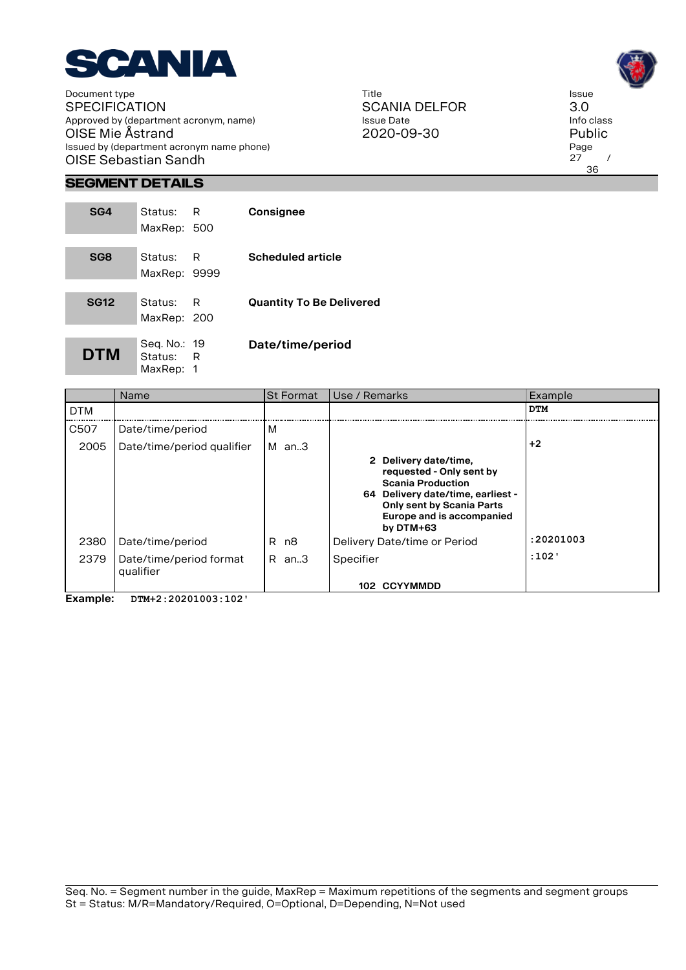

Title SCANIA DELFOR Issue Date 2020-09-30

Issue 3.0 Info class Public Page  $27$  / 36

# **Segment Details**

| SG4             | Status: R<br>MaxRep: 500               |    | Consignee                       |
|-----------------|----------------------------------------|----|---------------------------------|
| SG <sub>8</sub> | Status:<br>MaxRep: 9999                | -R | <b>Scheduled article</b>        |
| <b>SG12</b>     | Status:<br>MaxRep: 200                 | -R | <b>Quantity To Be Delivered</b> |
| <b>DTM</b>      | Seq. No.: 19<br>Status: R<br>MaxRep: 1 |    | Date/time/period                |

|            | Name                                 | <b>St Format</b> | Use / Remarks                                                                                                                                                                                      | Example    |
|------------|--------------------------------------|------------------|----------------------------------------------------------------------------------------------------------------------------------------------------------------------------------------------------|------------|
| <b>DTM</b> |                                      |                  |                                                                                                                                                                                                    | <b>DTM</b> |
| C507       | Date/time/period                     | M                |                                                                                                                                                                                                    |            |
| 2005       | Date/time/period qualifier           | M<br>an3         |                                                                                                                                                                                                    | $+2$       |
|            |                                      |                  | 2 Delivery date/time,<br>requested - Only sent by<br><b>Scania Production</b><br>64 Delivery date/time, earliest -<br><b>Only sent by Scania Parts</b><br>Europe and is accompanied<br>by $DTM+63$ |            |
| 2380       | Date/time/period                     | R.<br>n8         | Delivery Date/time or Period                                                                                                                                                                       | :20201003  |
| 2379       | Date/time/period format<br>qualifier | an3<br>R.        | Specifier                                                                                                                                                                                          | :102'      |
|            |                                      |                  | 102 CCYYMMDD                                                                                                                                                                                       |            |

**Example: DTM+2:20201003:102'**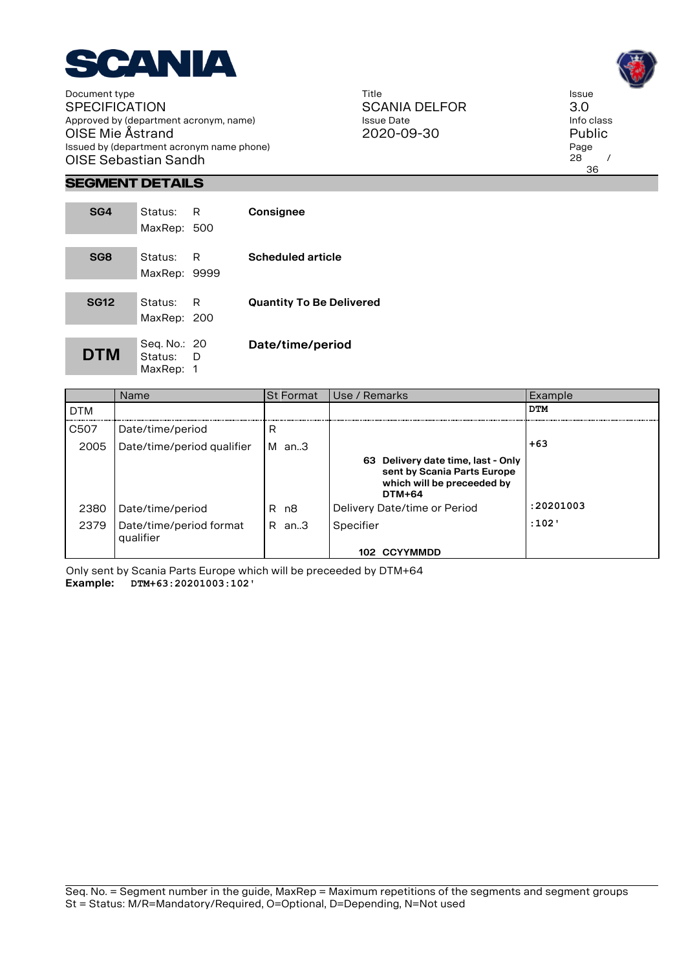

Title SCANIA DELFOR Issue Date 2020-09-30

Issue 3.0 Info class Public Page  $28$  / 36

# **Segment Details**

| SG4         | Status: I<br>MaxRep: 500               | - R | Consignee                       |
|-------------|----------------------------------------|-----|---------------------------------|
| SG8         | Status:<br>MaxRep: 9999                | R   | <b>Scheduled article</b>        |
| <b>SG12</b> | Status:<br>MaxRep: 200                 | R   | <b>Quantity To Be Delivered</b> |
| <b>DTM</b>  | Seg. No.: 20<br>Status: D<br>MaxRep: 1 |     | Date/time/period                |

|            | Name                                 | <b>St Format</b> | Use / Remarks                                                                                                    | Example    |
|------------|--------------------------------------|------------------|------------------------------------------------------------------------------------------------------------------|------------|
| <b>DTM</b> |                                      |                  |                                                                                                                  | <b>DTM</b> |
| C507       | Date/time/period                     | R                |                                                                                                                  |            |
| 2005       | Date/time/period qualifier           | M<br>an3         |                                                                                                                  | $+63$      |
|            |                                      |                  | 63 Delivery date time, last - Only<br>sent by Scania Parts Europe<br>which will be preceeded by<br><b>DTM+64</b> |            |
| 2380       | Date/time/period                     | n8<br>R.         | Delivery Date/time or Period                                                                                     | :20201003  |
| 2379       | Date/time/period format<br>qualifier | R<br>an3         | Specifier                                                                                                        | :102       |
|            |                                      |                  | 102 CCYYMMDD                                                                                                     |            |

Only sent by Scania Parts Europe which will be preceeded by DTM+64 **Example: DTM+63:20201003:102'**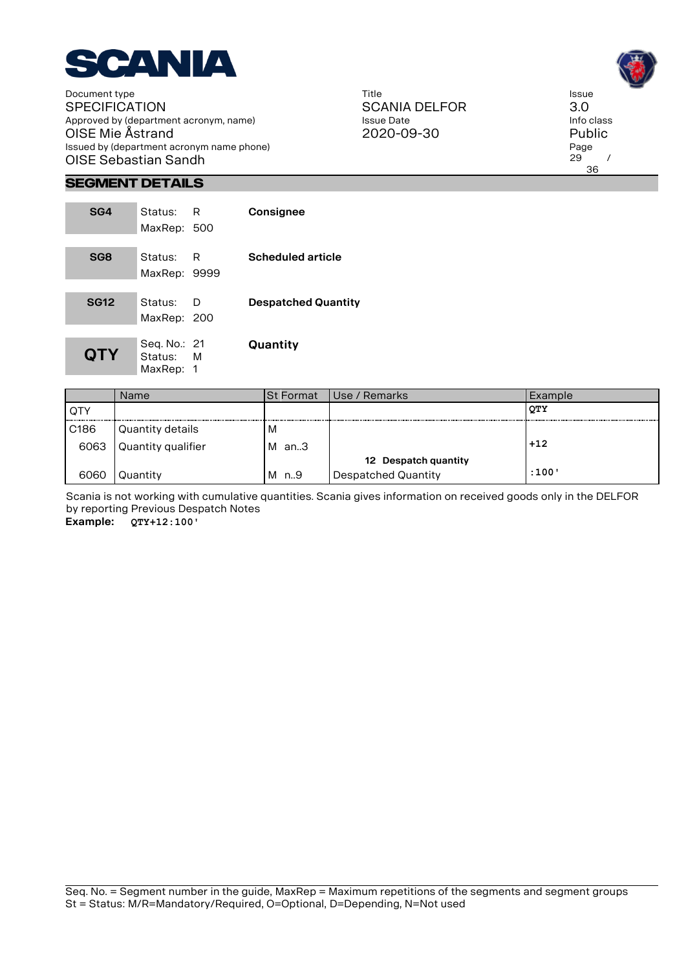

Title SCANIA DELFOR Issue Date 2020-09-30

Issue 3.0 Info class Public Page  $29$  / 36

# **Segment Details**

| SG4             | Status: R<br>MaxRep: 500               |   | Consignee                  |
|-----------------|----------------------------------------|---|----------------------------|
| SG <sub>8</sub> | Status: R<br>MaxRep: 9999              |   | <b>Scheduled article</b>   |
| <b>SG12</b>     | Status:<br>MaxRep: 200                 | D | <b>Despatched Quantity</b> |
| <b>QTY</b>      | Seg. No.: 21<br>Status: M<br>MaxRep: 1 |   | Quantity                   |

|                  | Name               | <b>St Format</b> | Use / Remarks        | Example |
|------------------|--------------------|------------------|----------------------|---------|
| QTY              |                    |                  |                      | QТY     |
| C <sub>186</sub> | Quantity details   | M                |                      |         |
| 6063             | Quantity qualifier | М<br>an3         |                      | $+12$   |
|                  |                    |                  | 12 Despatch quantity |         |
| 6060             | Quantity           | М<br>n9          | Despatched Quantity  | :100'   |

Scania is not working with cumulative quantities. Scania gives information on received goods only in the DELFOR by reporting Previous Despatch Notes

**Example: QTY+12:100'**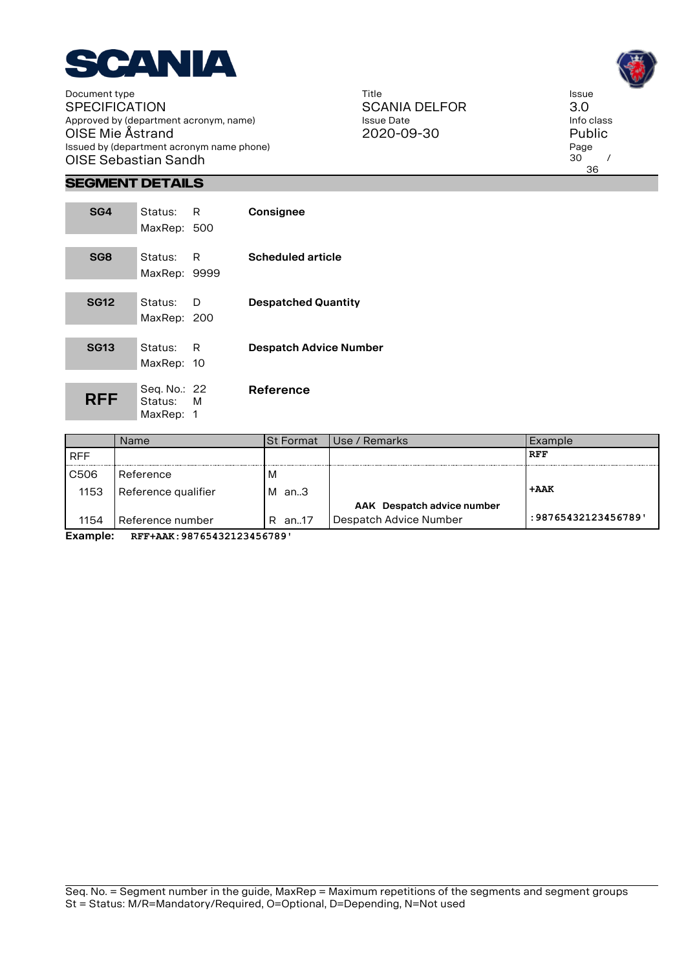

Title SCANIA DELFOR Issue Date 2020-09-30

Issue 3.0 Info class Public Page  $30^\circ$  / 36

# **Segment Details**

the control of the control of the con-

| SG4             | Status:<br>MaxRep: 500                 | R   | Consignee                     |
|-----------------|----------------------------------------|-----|-------------------------------|
| SG <sub>8</sub> | Status:<br>MaxRep: 9999                | - R | <b>Scheduled article</b>      |
| <b>SG12</b>     | Status:<br>MaxRep: 200                 | D   | <b>Despatched Quantity</b>    |
| <b>SG13</b>     | Status:<br>MaxRep: 10                  | R   | <b>Despatch Advice Number</b> |
| RFF             | Seg. No.: 22<br>Status: M<br>MaxRep: 1 |     | Reference                     |

| Name                | ISt Format | Use / Remarks              | Example             |
|---------------------|------------|----------------------------|---------------------|
|                     |            |                            | <b>RFF</b>          |
| Reference           | M          |                            |                     |
| Reference qualifier | M<br>an3   |                            | +AAK                |
|                     |            | AAK Despatch advice number |                     |
| Reference number    | an17<br>R. | Despatch Advice Number     | : 98765432123456789 |
|                     |            |                            |                     |

**Example: RFF+AAK:98765432123456789'**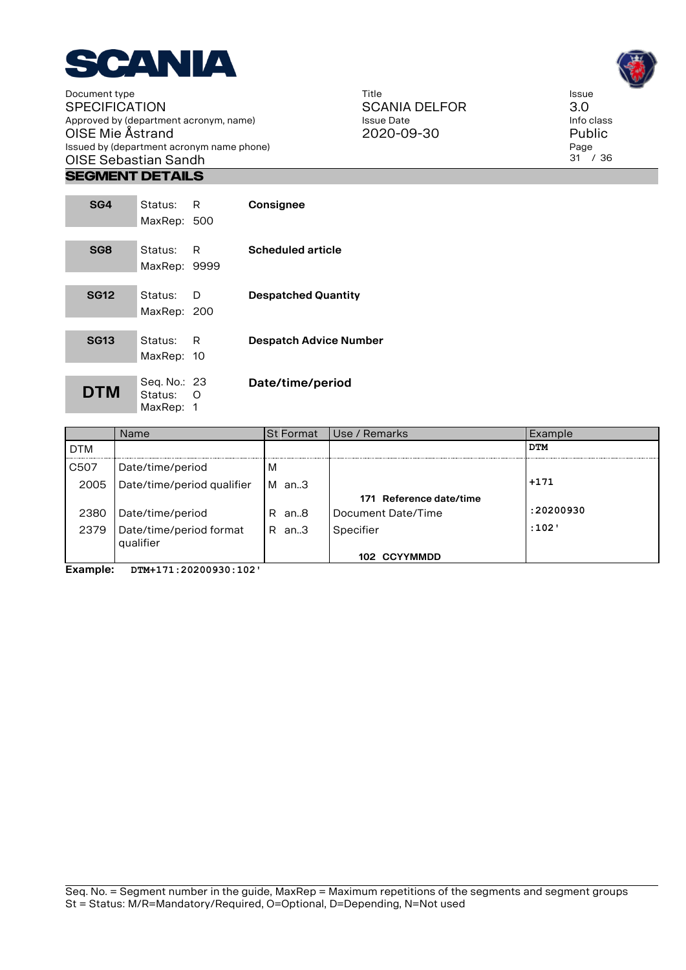

#### **Segment Details**

| SG4         | Status: R<br>MaxRep: 500             |   | Consignee                     |
|-------------|--------------------------------------|---|-------------------------------|
| SG8         | Status: R<br>MaxRep: 9999            |   | <b>Scheduled article</b>      |
| <b>SG12</b> | Status:<br>MaxRep: 200               | D | <b>Despatched Quantity</b>    |
| <b>SG13</b> | Status: R<br>MaxRep: 10              |   | <b>Despatch Advice Number</b> |
| <b>DTM</b>  | Seg. No.: 23<br>Status:<br>MaxRep: 1 | ∩ | Date/time/period              |

|            | <b>Name</b>                | <b>St Format</b> | Use / Remarks           | Example    |
|------------|----------------------------|------------------|-------------------------|------------|
| <b>DTM</b> |                            |                  |                         | <b>DTM</b> |
| C507       | Date/time/period           | M                |                         |            |
| 2005       | Date/time/period qualifier | M an.3           |                         | $+171$     |
|            |                            |                  | 171 Reference date/time |            |
| 2380       | Date/time/period           | R an8            | Document Date/Time      | :20200930  |
| 2379       | Date/time/period format    | R an.3           | Specifier               | :102'      |
|            | qualifier                  |                  |                         |            |
|            |                            |                  | 102 CCYYMMDD            |            |

**Example: DTM+171:20200930:102'**





Issue 3.0 Info class Public Page 31 / 36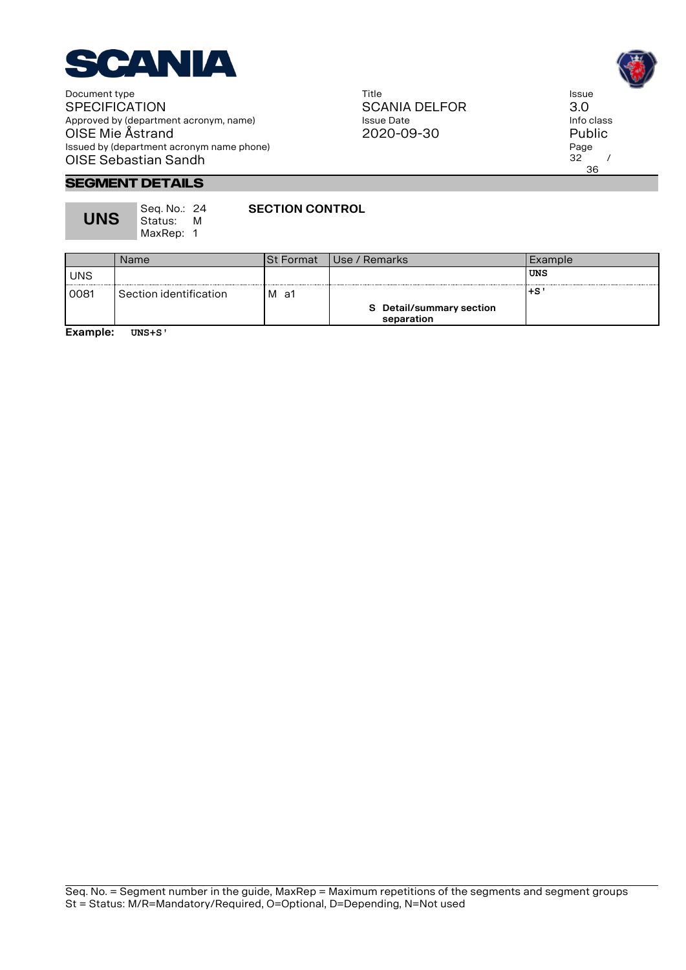

Title SCANIA DELFOR Issue Date 2020-09-30



Issue 3.0

Page  $32 /$ 36

**Segment Details**

**UNS**

Seq. No.: 24 Status: M MaxRep: 1

**SECTION CONTROL**

Name St Format Use / Remarks Example UNS **UNS** 0081 Section identification M a1 **+S' S Detail/summary section separation**

**Example: UNS+S'**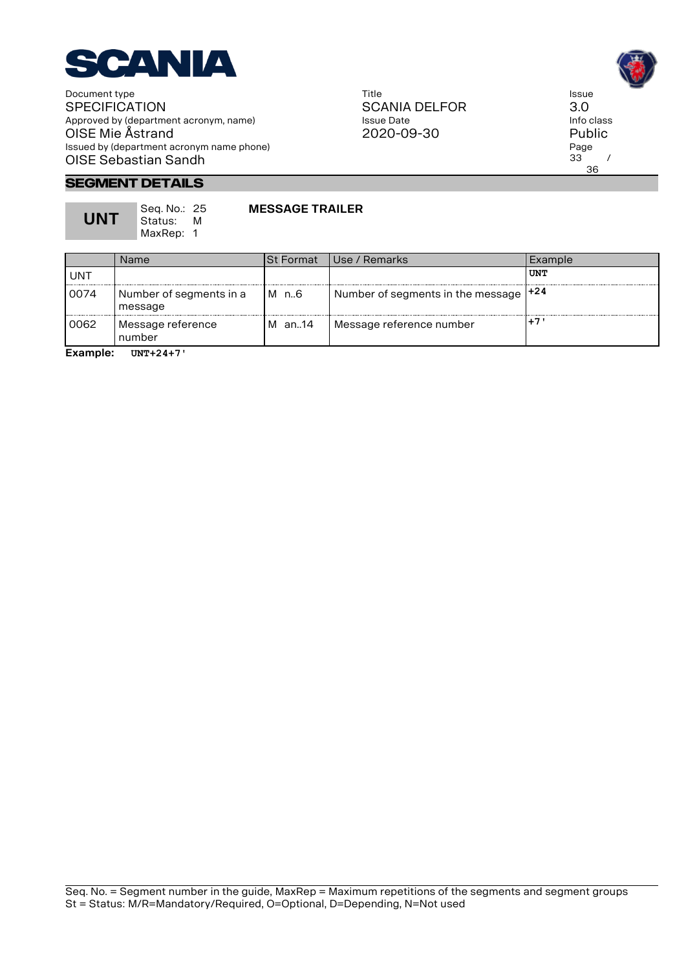

Title SCANIA DELFOR Issue Date 2020-09-30



# **Segment Details**

**UNT**

Seq. No.: 25 Status: M MaxRep: 1

# **MESSAGE TRAILER**

|      | Name                               | ISt Format | Use / Remarks                             | Example |
|------|------------------------------------|------------|-------------------------------------------|---------|
| UNT  |                                    |            |                                           | UNT     |
| 0074 | Number of segments in a<br>message | M n.6      | Number of segments in the message $ +24 $ |         |
| 0062 | Message reference<br>number        | M an14     | Message reference number                  | $+7$    |

**Example: UNT+24+7'**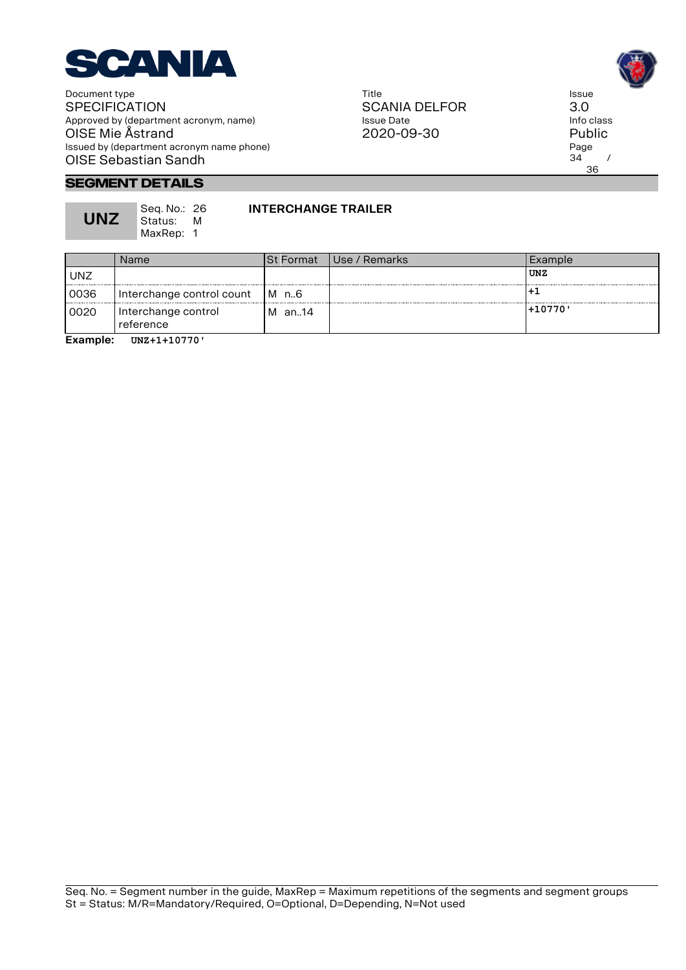

Title SCANIA DELFOR Issue Date 2020-09-30



#### **Segment Details**

**UNZ**

Seq. No.: 26 Status: M MaxRep: 1

#### **INTERCHANGE TRAILER**

| Name                             |        |                  | Example         |
|----------------------------------|--------|------------------|-----------------|
|                                  |        |                  | UNZ             |
| Interchange control count        | IM n6  |                  |                 |
| Interchange control<br>reference | M an14 |                  | 1+10770'        |
|                                  |        | <b>St Format</b> | l Use / Remarks |

**Example: UNZ+1+10770'**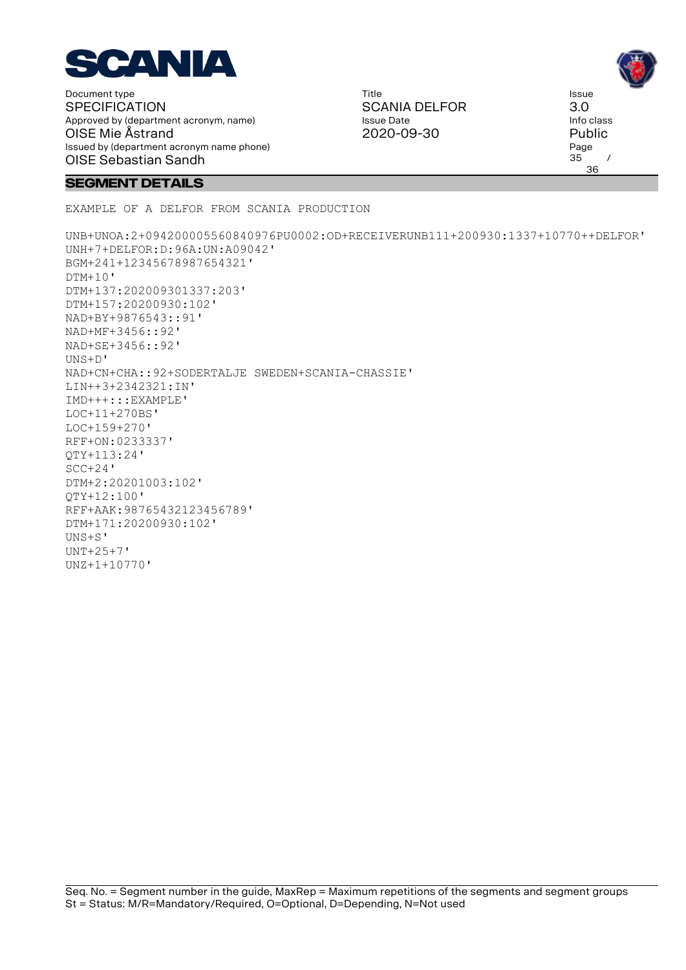

Title SCANIA DELFOR Issue Date 2020-09-30

Issue 3.0 Info class Public Page  $35$  / 36

#### **Segment Details**

EXAMPLE OF A DELFOR FROM SCANIA PRODUCTION

UNB+UNOA:2+094200005560840976PU0002:OD+RECEIVERUNB111+200930:1337+10770++DELFOR' UNH+7+DELFOR:D:96A:UN:A09042' BGM+241+12345678987654321'  $DTM+10'$ DTM+137:202009301337:203' DTM+157:20200930:102' NAD+BY+9876543::91' NAD+MF+3456::92' NAD+SE+3456::92' UNS+D' NAD+CN+CHA::92+SODERTALJE SWEDEN+SCANIA-CHASSIE' LIN++3+2342321:IN' IMD+++:::EXAMPLE' LOC+11+270BS' LOC+159+270' RFF+ON:0233337' QTY+113:24' SCC+24' DTM+2:20201003:102' QTY+12:100' RFF+AAK:98765432123456789' DTM+171:20200930:102' UNS+S'  $UNT + 25 + 7$ ' UNZ+1+10770'